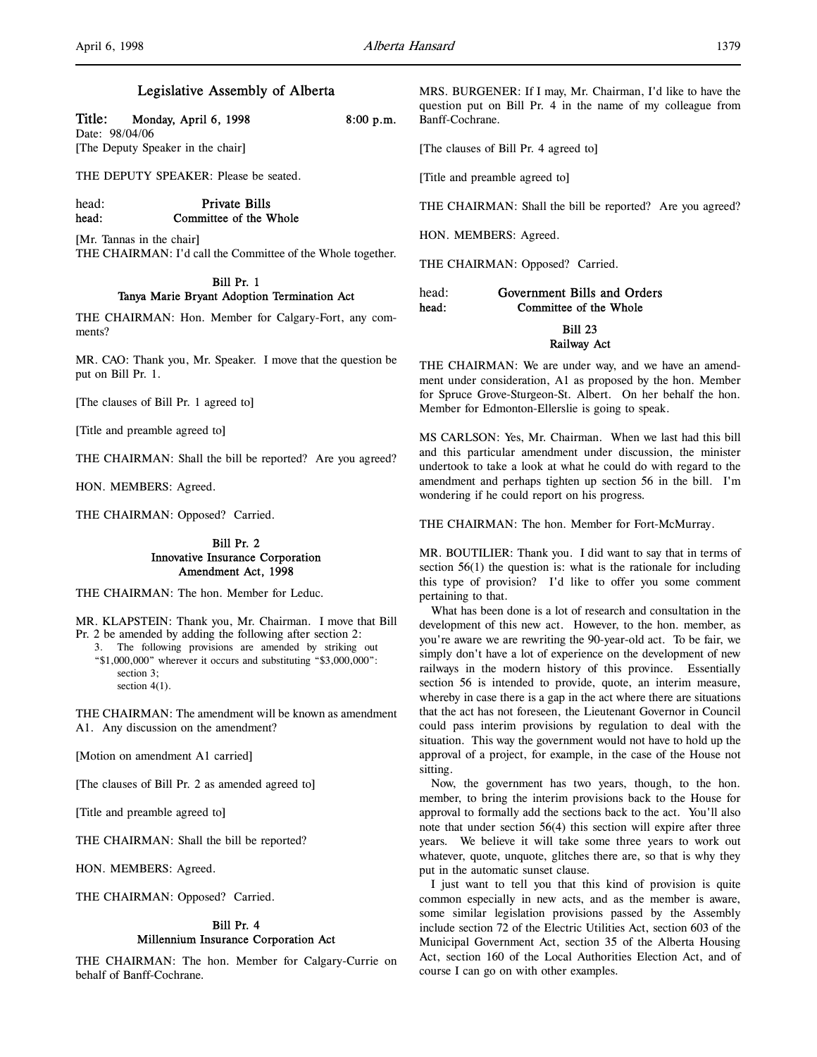# Legislative Assembly of Alberta

| Title: | Monday, April 6, 1998 | 8:00 p.m. |
|--------|-----------------------|-----------|
|--------|-----------------------|-----------|

Date: 98/04/06 [The Deputy Speaker in the chair]

THE DEPUTY SPEAKER: Please be seated.

head: Private Bills head: Committee of the Whole

[Mr. Tannas in the chair] THE CHAIRMAN: I'd call the Committee of the Whole together.

### Bill Pr. 1 Tanya Marie Bryant Adoption Termination Act

THE CHAIRMAN: Hon. Member for Calgary-Fort, any comments?

MR. CAO: Thank you, Mr. Speaker. I move that the question be put on Bill Pr. 1.

[The clauses of Bill Pr. 1 agreed to]

[Title and preamble agreed to]

THE CHAIRMAN: Shall the bill be reported? Are you agreed?

HON. MEMBERS: Agreed.

THE CHAIRMAN: Opposed? Carried.

## Bill Pr. 2 Innovative Insurance Corporation Amendment Act, 1998

THE CHAIRMAN: The hon. Member for Leduc.

MR. KLAPSTEIN: Thank you, Mr. Chairman. I move that Bill Pr. 2 be amended by adding the following after section 2:

3. The following provisions are amended by striking out "\$1,000,000" wherever it occurs and substituting "\$3,000,000": section 3; section 4(1).

THE CHAIRMAN: The amendment will be known as amendment A1. Any discussion on the amendment?

[Motion on amendment A1 carried]

[The clauses of Bill Pr. 2 as amended agreed to]

[Title and preamble agreed to]

THE CHAIRMAN: Shall the bill be reported?

HON. MEMBERS: Agreed.

THE CHAIRMAN: Opposed? Carried.

# Bill Pr. 4 Millennium Insurance Corporation Act

THE CHAIRMAN: The hon. Member for Calgary-Currie on behalf of Banff-Cochrane.

MRS. BURGENER: If I may, Mr. Chairman, I'd like to have the question put on Bill Pr. 4 in the name of my colleague from Banff-Cochrane.

[The clauses of Bill Pr. 4 agreed to]

[Title and preamble agreed to]

THE CHAIRMAN: Shall the bill be reported? Are you agreed?

HON. MEMBERS: Agreed.

THE CHAIRMAN: Opposed? Carried.

| head: | Government Bills and Orders |  |
|-------|-----------------------------|--|
| head: | Committee of the Whole      |  |
|       | <b>Bill 23</b>              |  |
|       |                             |  |

Railway Act

THE CHAIRMAN: We are under way, and we have an amendment under consideration, A1 as proposed by the hon. Member for Spruce Grove-Sturgeon-St. Albert. On her behalf the hon. Member for Edmonton-Ellerslie is going to speak.

MS CARLSON: Yes, Mr. Chairman. When we last had this bill and this particular amendment under discussion, the minister undertook to take a look at what he could do with regard to the amendment and perhaps tighten up section 56 in the bill. I'm wondering if he could report on his progress.

THE CHAIRMAN: The hon. Member for Fort-McMurray.

MR. BOUTILIER: Thank you. I did want to say that in terms of section 56(1) the question is: what is the rationale for including this type of provision? I'd like to offer you some comment pertaining to that.

What has been done is a lot of research and consultation in the development of this new act. However, to the hon. member, as you're aware we are rewriting the 90-year-old act. To be fair, we simply don't have a lot of experience on the development of new railways in the modern history of this province. Essentially section 56 is intended to provide, quote, an interim measure, whereby in case there is a gap in the act where there are situations that the act has not foreseen, the Lieutenant Governor in Council could pass interim provisions by regulation to deal with the situation. This way the government would not have to hold up the approval of a project, for example, in the case of the House not sitting.

Now, the government has two years, though, to the hon. member, to bring the interim provisions back to the House for approval to formally add the sections back to the act. You'll also note that under section 56(4) this section will expire after three years. We believe it will take some three years to work out whatever, quote, unquote, glitches there are, so that is why they put in the automatic sunset clause.

I just want to tell you that this kind of provision is quite common especially in new acts, and as the member is aware, some similar legislation provisions passed by the Assembly include section 72 of the Electric Utilities Act, section 603 of the Municipal Government Act, section 35 of the Alberta Housing Act, section 160 of the Local Authorities Election Act, and of course I can go on with other examples.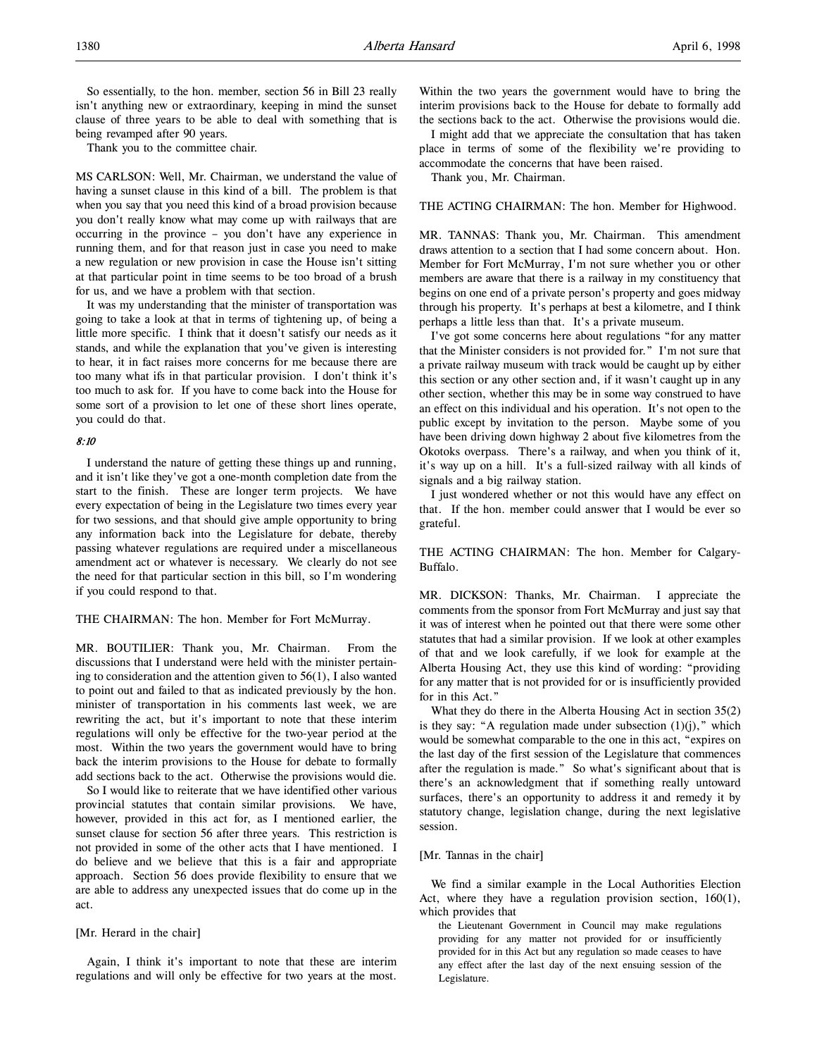So essentially, to the hon. member, section 56 in Bill 23 really isn't anything new or extraordinary, keeping in mind the sunset clause of three years to be able to deal with something that is being revamped after 90 years.

Thank you to the committee chair.

MS CARLSON: Well, Mr. Chairman, we understand the value of having a sunset clause in this kind of a bill. The problem is that when you say that you need this kind of a broad provision because you don't really know what may come up with railways that are occurring in the province – you don't have any experience in running them, and for that reason just in case you need to make a new regulation or new provision in case the House isn't sitting at that particular point in time seems to be too broad of a brush for us, and we have a problem with that section.

It was my understanding that the minister of transportation was going to take a look at that in terms of tightening up, of being a little more specific. I think that it doesn't satisfy our needs as it stands, and while the explanation that you've given is interesting to hear, it in fact raises more concerns for me because there are too many what ifs in that particular provision. I don't think it's too much to ask for. If you have to come back into the House for some sort of a provision to let one of these short lines operate, you could do that.

## 8:10

I understand the nature of getting these things up and running, and it isn't like they've got a one-month completion date from the start to the finish. These are longer term projects. We have every expectation of being in the Legislature two times every year for two sessions, and that should give ample opportunity to bring any information back into the Legislature for debate, thereby passing whatever regulations are required under a miscellaneous amendment act or whatever is necessary. We clearly do not see the need for that particular section in this bill, so I'm wondering if you could respond to that.

#### THE CHAIRMAN: The hon. Member for Fort McMurray.

MR. BOUTILIER: Thank you, Mr. Chairman. From the discussions that I understand were held with the minister pertaining to consideration and the attention given to 56(1), I also wanted to point out and failed to that as indicated previously by the hon. minister of transportation in his comments last week, we are rewriting the act, but it's important to note that these interim regulations will only be effective for the two-year period at the most. Within the two years the government would have to bring back the interim provisions to the House for debate to formally add sections back to the act. Otherwise the provisions would die.

So I would like to reiterate that we have identified other various provincial statutes that contain similar provisions. We have, however, provided in this act for, as I mentioned earlier, the sunset clause for section 56 after three years. This restriction is not provided in some of the other acts that I have mentioned. I do believe and we believe that this is a fair and appropriate approach. Section 56 does provide flexibility to ensure that we are able to address any unexpected issues that do come up in the act.

### [Mr. Herard in the chair]

Again, I think it's important to note that these are interim regulations and will only be effective for two years at the most.

Within the two years the government would have to bring the interim provisions back to the House for debate to formally add the sections back to the act. Otherwise the provisions would die.

I might add that we appreciate the consultation that has taken place in terms of some of the flexibility we're providing to accommodate the concerns that have been raised.

Thank you, Mr. Chairman.

THE ACTING CHAIRMAN: The hon. Member for Highwood.

MR. TANNAS: Thank you, Mr. Chairman. This amendment draws attention to a section that I had some concern about. Hon. Member for Fort McMurray, I'm not sure whether you or other members are aware that there is a railway in my constituency that begins on one end of a private person's property and goes midway through his property. It's perhaps at best a kilometre, and I think perhaps a little less than that. It's a private museum.

I've got some concerns here about regulations "for any matter that the Minister considers is not provided for." I'm not sure that a private railway museum with track would be caught up by either this section or any other section and, if it wasn't caught up in any other section, whether this may be in some way construed to have an effect on this individual and his operation. It's not open to the public except by invitation to the person. Maybe some of you have been driving down highway 2 about five kilometres from the Okotoks overpass. There's a railway, and when you think of it, it's way up on a hill. It's a full-sized railway with all kinds of signals and a big railway station.

I just wondered whether or not this would have any effect on that. If the hon. member could answer that I would be ever so grateful.

THE ACTING CHAIRMAN: The hon. Member for Calgary-Buffalo.

MR. DICKSON: Thanks, Mr. Chairman. I appreciate the comments from the sponsor from Fort McMurray and just say that it was of interest when he pointed out that there were some other statutes that had a similar provision. If we look at other examples of that and we look carefully, if we look for example at the Alberta Housing Act, they use this kind of wording: "providing for any matter that is not provided for or is insufficiently provided for in this Act."

What they do there in the Alberta Housing Act in section 35(2) is they say: "A regulation made under subsection  $(1)(j)$ ," which would be somewhat comparable to the one in this act, "expires on the last day of the first session of the Legislature that commences after the regulation is made." So what's significant about that is there's an acknowledgment that if something really untoward surfaces, there's an opportunity to address it and remedy it by statutory change, legislation change, during the next legislative session.

#### [Mr. Tannas in the chair]

We find a similar example in the Local Authorities Election Act, where they have a regulation provision section, 160(1), which provides that

the Lieutenant Government in Council may make regulations providing for any matter not provided for or insufficiently provided for in this Act but any regulation so made ceases to have any effect after the last day of the next ensuing session of the Legislature.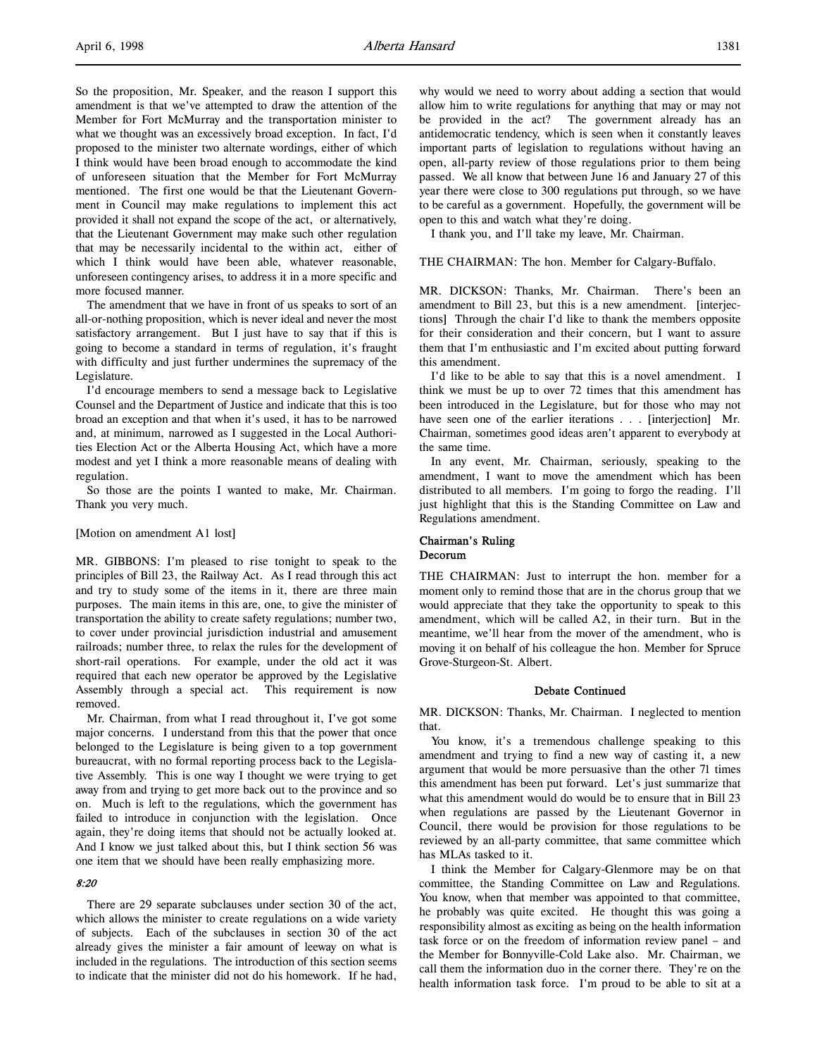So the proposition, Mr. Speaker, and the reason I support this amendment is that we've attempted to draw the attention of the Member for Fort McMurray and the transportation minister to what we thought was an excessively broad exception. In fact, I'd proposed to the minister two alternate wordings, either of which I think would have been broad enough to accommodate the kind of unforeseen situation that the Member for Fort McMurray mentioned. The first one would be that the Lieutenant Government in Council may make regulations to implement this act provided it shall not expand the scope of the act, or alternatively, that the Lieutenant Government may make such other regulation that may be necessarily incidental to the within act, either of which I think would have been able, whatever reasonable, unforeseen contingency arises, to address it in a more specific and more focused manner.

The amendment that we have in front of us speaks to sort of an all-or-nothing proposition, which is never ideal and never the most satisfactory arrangement. But I just have to say that if this is going to become a standard in terms of regulation, it's fraught with difficulty and just further undermines the supremacy of the Legislature.

I'd encourage members to send a message back to Legislative Counsel and the Department of Justice and indicate that this is too broad an exception and that when it's used, it has to be narrowed and, at minimum, narrowed as I suggested in the Local Authorities Election Act or the Alberta Housing Act, which have a more modest and yet I think a more reasonable means of dealing with regulation.

So those are the points I wanted to make, Mr. Chairman. Thank you very much.

#### [Motion on amendment A1 lost]

MR. GIBBONS: I'm pleased to rise tonight to speak to the principles of Bill 23, the Railway Act. As I read through this act and try to study some of the items in it, there are three main purposes. The main items in this are, one, to give the minister of transportation the ability to create safety regulations; number two, to cover under provincial jurisdiction industrial and amusement railroads; number three, to relax the rules for the development of short-rail operations. For example, under the old act it was required that each new operator be approved by the Legislative Assembly through a special act. This requirement is now removed.

Mr. Chairman, from what I read throughout it, I've got some major concerns. I understand from this that the power that once belonged to the Legislature is being given to a top government bureaucrat, with no formal reporting process back to the Legislative Assembly. This is one way I thought we were trying to get away from and trying to get more back out to the province and so on. Much is left to the regulations, which the government has failed to introduce in conjunction with the legislation. Once again, they're doing items that should not be actually looked at. And I know we just talked about this, but I think section 56 was one item that we should have been really emphasizing more.

#### 8:20

There are 29 separate subclauses under section 30 of the act, which allows the minister to create regulations on a wide variety of subjects. Each of the subclauses in section 30 of the act already gives the minister a fair amount of leeway on what is included in the regulations. The introduction of this section seems to indicate that the minister did not do his homework. If he had,

why would we need to worry about adding a section that would allow him to write regulations for anything that may or may not be provided in the act? The government already has an antidemocratic tendency, which is seen when it constantly leaves important parts of legislation to regulations without having an open, all-party review of those regulations prior to them being passed. We all know that between June 16 and January 27 of this year there were close to 300 regulations put through, so we have to be careful as a government. Hopefully, the government will be open to this and watch what they're doing.

I thank you, and I'll take my leave, Mr. Chairman.

## THE CHAIRMAN: The hon. Member for Calgary-Buffalo.

MR. DICKSON: Thanks, Mr. Chairman. There's been an amendment to Bill 23, but this is a new amendment. [interjections] Through the chair I'd like to thank the members opposite for their consideration and their concern, but I want to assure them that I'm enthusiastic and I'm excited about putting forward this amendment.

I'd like to be able to say that this is a novel amendment. I think we must be up to over 72 times that this amendment has been introduced in the Legislature, but for those who may not have seen one of the earlier iterations . . . [interjection] Mr. Chairman, sometimes good ideas aren't apparent to everybody at the same time.

In any event, Mr. Chairman, seriously, speaking to the amendment, I want to move the amendment which has been distributed to all members. I'm going to forgo the reading. I'll just highlight that this is the Standing Committee on Law and Regulations amendment.

### Chairman's Ruling Decorum

THE CHAIRMAN: Just to interrupt the hon. member for a moment only to remind those that are in the chorus group that we would appreciate that they take the opportunity to speak to this amendment, which will be called A2, in their turn. But in the meantime, we'll hear from the mover of the amendment, who is moving it on behalf of his colleague the hon. Member for Spruce Grove-Sturgeon-St. Albert.

## Debate Continued

MR. DICKSON: Thanks, Mr. Chairman. I neglected to mention that.

You know, it's a tremendous challenge speaking to this amendment and trying to find a new way of casting it, a new argument that would be more persuasive than the other 71 times this amendment has been put forward. Let's just summarize that what this amendment would do would be to ensure that in Bill 23 when regulations are passed by the Lieutenant Governor in Council, there would be provision for those regulations to be reviewed by an all-party committee, that same committee which has MLAs tasked to it.

I think the Member for Calgary-Glenmore may be on that committee, the Standing Committee on Law and Regulations. You know, when that member was appointed to that committee, he probably was quite excited. He thought this was going a responsibility almost as exciting as being on the health information task force or on the freedom of information review panel – and the Member for Bonnyville-Cold Lake also. Mr. Chairman, we call them the information duo in the corner there. They're on the health information task force. I'm proud to be able to sit at a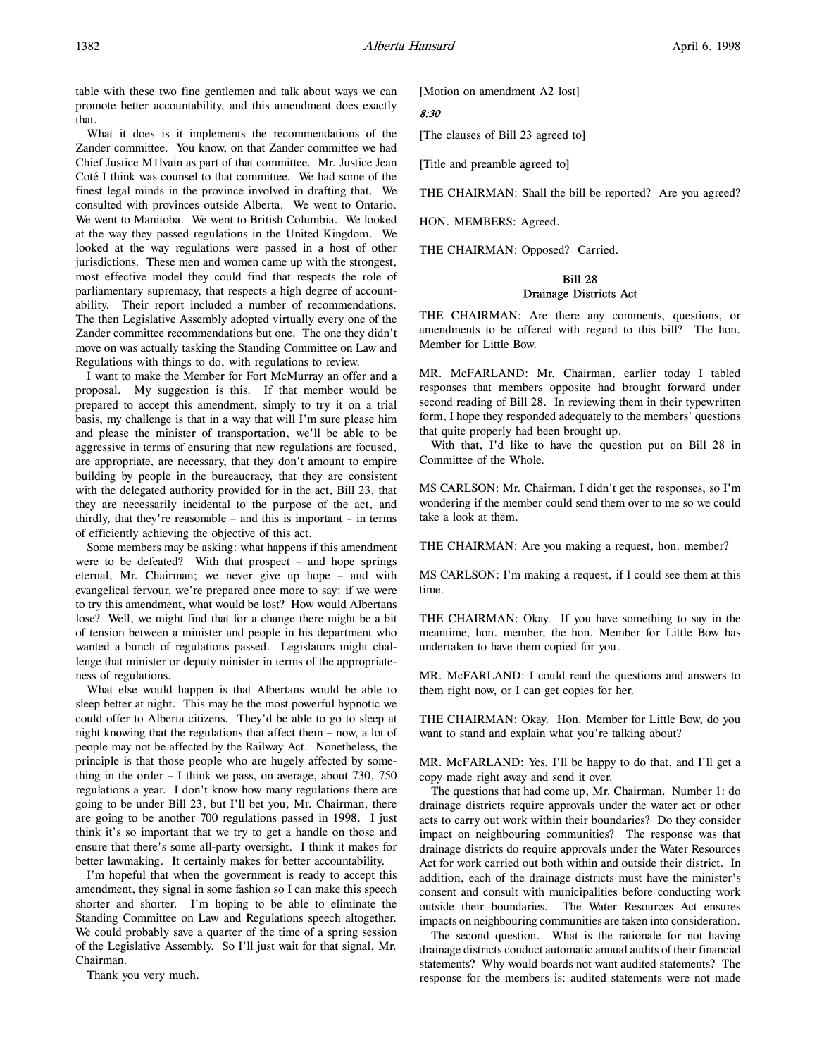What it does is it implements the recommendations of the Zander committee. You know, on that Zander committee we had Chief Justice M1lvain as part of that committee. Mr. Justice Jean Coté I think was counsel to that committee. We had some of the finest legal minds in the province involved in drafting that. We consulted with provinces outside Alberta. We went to Ontario. We went to Manitoba. We went to British Columbia. We looked at the way they passed regulations in the United Kingdom. We looked at the way regulations were passed in a host of other jurisdictions. These men and women came up with the strongest, most effective model they could find that respects the role of parliamentary supremacy, that respects a high degree of accountability. Their report included a number of recommendations. The then Legislative Assembly adopted virtually every one of the Zander committee recommendations but one. The one they didn't move on was actually tasking the Standing Committee on Law and Regulations with things to do, with regulations to review.

I want to make the Member for Fort McMurray an offer and a proposal. My suggestion is this. If that member would be prepared to accept this amendment, simply to try it on a trial basis, my challenge is that in a way that will I'm sure please him and please the minister of transportation, we'll be able to be aggressive in terms of ensuring that new regulations are focused, are appropriate, are necessary, that they don't amount to empire building by people in the bureaucracy, that they are consistent with the delegated authority provided for in the act, Bill 23, that they are necessarily incidental to the purpose of the act, and thirdly, that they're reasonable – and this is important – in terms of efficiently achieving the objective of this act.

Some members may be asking: what happens if this amendment were to be defeated? With that prospect – and hope springs eternal, Mr. Chairman; we never give up hope – and with evangelical fervour, we're prepared once more to say: if we were to try this amendment, what would be lost? How would Albertans lose? Well, we might find that for a change there might be a bit of tension between a minister and people in his department who wanted a bunch of regulations passed. Legislators might challenge that minister or deputy minister in terms of the appropriateness of regulations.

What else would happen is that Albertans would be able to sleep better at night. This may be the most powerful hypnotic we could offer to Alberta citizens. They'd be able to go to sleep at night knowing that the regulations that affect them – now, a lot of people may not be affected by the Railway Act. Nonetheless, the principle is that those people who are hugely affected by something in the order – I think we pass, on average, about 730, 750 regulations a year. I don't know how many regulations there are going to be under Bill 23, but I'll bet you, Mr. Chairman, there are going to be another 700 regulations passed in 1998. I just think it's so important that we try to get a handle on those and ensure that there's some all-party oversight. I think it makes for better lawmaking. It certainly makes for better accountability.

I'm hopeful that when the government is ready to accept this amendment, they signal in some fashion so I can make this speech shorter and shorter. I'm hoping to be able to eliminate the Standing Committee on Law and Regulations speech altogether. We could probably save a quarter of the time of a spring session of the Legislative Assembly. So I'll just wait for that signal, Mr. Chairman.

Thank you very much.

[Motion on amendment A2 lost]

## 8:30

[The clauses of Bill 23 agreed to]

[Title and preamble agreed to]

THE CHAIRMAN: Shall the bill be reported? Are you agreed?

HON. MEMBERS: Agreed.

THE CHAIRMAN: Opposed? Carried.

## Bill 28 Drainage Districts Act

THE CHAIRMAN: Are there any comments, questions, or amendments to be offered with regard to this bill? The hon. Member for Little Bow.

MR. McFARLAND: Mr. Chairman, earlier today I tabled responses that members opposite had brought forward under second reading of Bill 28. In reviewing them in their typewritten form, I hope they responded adequately to the members' questions that quite properly had been brought up.

With that, I'd like to have the question put on Bill 28 in Committee of the Whole.

MS CARLSON: Mr. Chairman, I didn't get the responses, so I'm wondering if the member could send them over to me so we could take a look at them.

THE CHAIRMAN: Are you making a request, hon. member?

MS CARLSON: I'm making a request, if I could see them at this time.

THE CHAIRMAN: Okay. If you have something to say in the meantime, hon. member, the hon. Member for Little Bow has undertaken to have them copied for you.

MR. McFARLAND: I could read the questions and answers to them right now, or I can get copies for her.

THE CHAIRMAN: Okay. Hon. Member for Little Bow, do you want to stand and explain what you're talking about?

MR. McFARLAND: Yes, I'll be happy to do that, and I'll get a copy made right away and send it over.

The questions that had come up, Mr. Chairman. Number 1: do drainage districts require approvals under the water act or other acts to carry out work within their boundaries? Do they consider impact on neighbouring communities? The response was that drainage districts do require approvals under the Water Resources Act for work carried out both within and outside their district. In addition, each of the drainage districts must have the minister's consent and consult with municipalities before conducting work outside their boundaries. The Water Resources Act ensures impacts on neighbouring communities are taken into consideration.

The second question. What is the rationale for not having drainage districts conduct automatic annual audits of their financial statements? Why would boards not want audited statements? The response for the members is: audited statements were not made

that.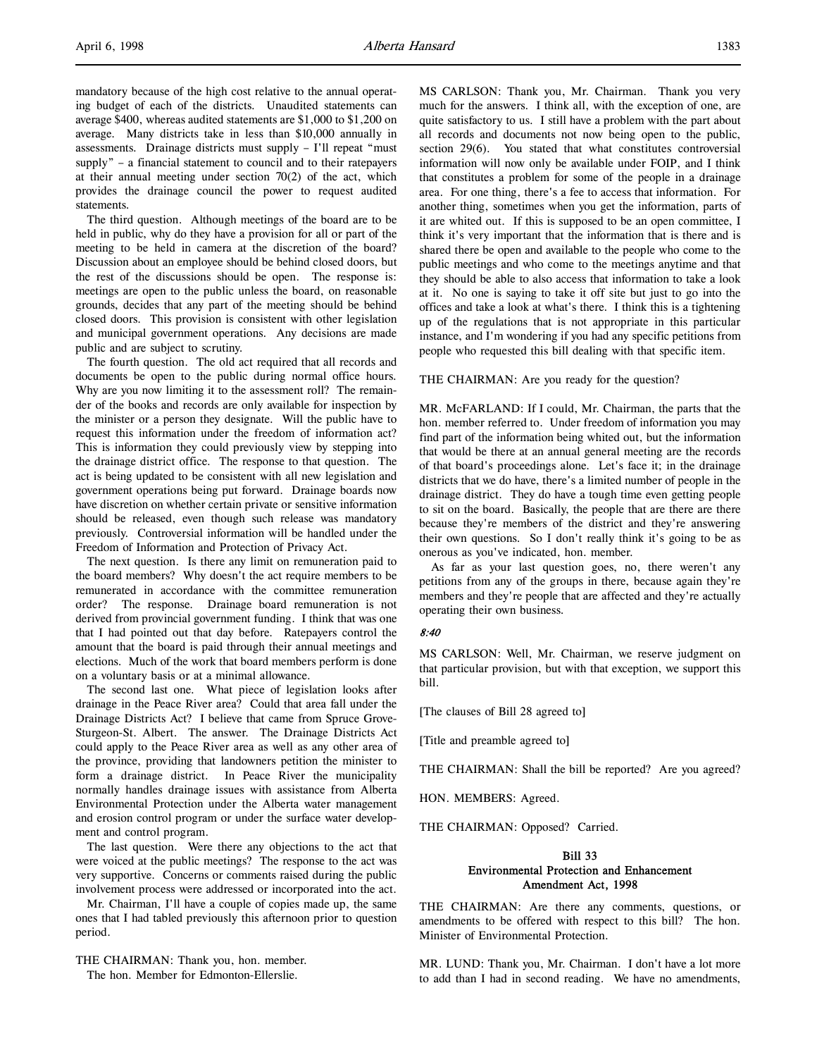mandatory because of the high cost relative to the annual operating budget of each of the districts. Unaudited statements can average \$400, whereas audited statements are \$1,000 to \$1,200 on average. Many districts take in less than \$10,000 annually in assessments. Drainage districts must supply – I'll repeat "must supply" – a financial statement to council and to their ratepayers at their annual meeting under section 70(2) of the act, which provides the drainage council the power to request audited statements.

The third question. Although meetings of the board are to be held in public, why do they have a provision for all or part of the meeting to be held in camera at the discretion of the board? Discussion about an employee should be behind closed doors, but the rest of the discussions should be open. The response is: meetings are open to the public unless the board, on reasonable grounds, decides that any part of the meeting should be behind closed doors. This provision is consistent with other legislation and municipal government operations. Any decisions are made public and are subject to scrutiny.

The fourth question. The old act required that all records and documents be open to the public during normal office hours. Why are you now limiting it to the assessment roll? The remainder of the books and records are only available for inspection by the minister or a person they designate. Will the public have to request this information under the freedom of information act? This is information they could previously view by stepping into the drainage district office. The response to that question. The act is being updated to be consistent with all new legislation and government operations being put forward. Drainage boards now have discretion on whether certain private or sensitive information should be released, even though such release was mandatory previously. Controversial information will be handled under the Freedom of Information and Protection of Privacy Act.

The next question. Is there any limit on remuneration paid to the board members? Why doesn't the act require members to be remunerated in accordance with the committee remuneration order? The response. Drainage board remuneration is not derived from provincial government funding. I think that was one that I had pointed out that day before. Ratepayers control the amount that the board is paid through their annual meetings and elections. Much of the work that board members perform is done on a voluntary basis or at a minimal allowance.

The second last one. What piece of legislation looks after drainage in the Peace River area? Could that area fall under the Drainage Districts Act? I believe that came from Spruce Grove-Sturgeon-St. Albert. The answer. The Drainage Districts Act could apply to the Peace River area as well as any other area of the province, providing that landowners petition the minister to form a drainage district. In Peace River the municipality normally handles drainage issues with assistance from Alberta Environmental Protection under the Alberta water management and erosion control program or under the surface water development and control program.

The last question. Were there any objections to the act that were voiced at the public meetings? The response to the act was very supportive. Concerns or comments raised during the public involvement process were addressed or incorporated into the act.

Mr. Chairman, I'll have a couple of copies made up, the same ones that I had tabled previously this afternoon prior to question period.

THE CHAIRMAN: Thank you, hon. member. The hon. Member for Edmonton-Ellerslie.

MS CARLSON: Thank you, Mr. Chairman. Thank you very much for the answers. I think all, with the exception of one, are quite satisfactory to us. I still have a problem with the part about all records and documents not now being open to the public, section 29(6). You stated that what constitutes controversial information will now only be available under FOIP, and I think that constitutes a problem for some of the people in a drainage area. For one thing, there's a fee to access that information. For another thing, sometimes when you get the information, parts of it are whited out. If this is supposed to be an open committee, I think it's very important that the information that is there and is shared there be open and available to the people who come to the public meetings and who come to the meetings anytime and that they should be able to also access that information to take a look at it. No one is saying to take it off site but just to go into the offices and take a look at what's there. I think this is a tightening up of the regulations that is not appropriate in this particular instance, and I'm wondering if you had any specific petitions from people who requested this bill dealing with that specific item.

THE CHAIRMAN: Are you ready for the question?

MR. McFARLAND: If I could, Mr. Chairman, the parts that the hon. member referred to. Under freedom of information you may find part of the information being whited out, but the information that would be there at an annual general meeting are the records of that board's proceedings alone. Let's face it; in the drainage districts that we do have, there's a limited number of people in the drainage district. They do have a tough time even getting people to sit on the board. Basically, the people that are there are there because they're members of the district and they're answering their own questions. So I don't really think it's going to be as onerous as you've indicated, hon. member.

As far as your last question goes, no, there weren't any petitions from any of the groups in there, because again they're members and they're people that are affected and they're actually operating their own business.

#### 8:40

MS CARLSON: Well, Mr. Chairman, we reserve judgment on that particular provision, but with that exception, we support this bill.

[The clauses of Bill 28 agreed to]

[Title and preamble agreed to]

THE CHAIRMAN: Shall the bill be reported? Are you agreed?

HON. MEMBERS: Agreed.

THE CHAIRMAN: Opposed? Carried.

## Bill 33 Environmental Protection and Enhancement Amendment Act, 1998

THE CHAIRMAN: Are there any comments, questions, or amendments to be offered with respect to this bill? The hon. Minister of Environmental Protection.

MR. LUND: Thank you, Mr. Chairman. I don't have a lot more to add than I had in second reading. We have no amendments,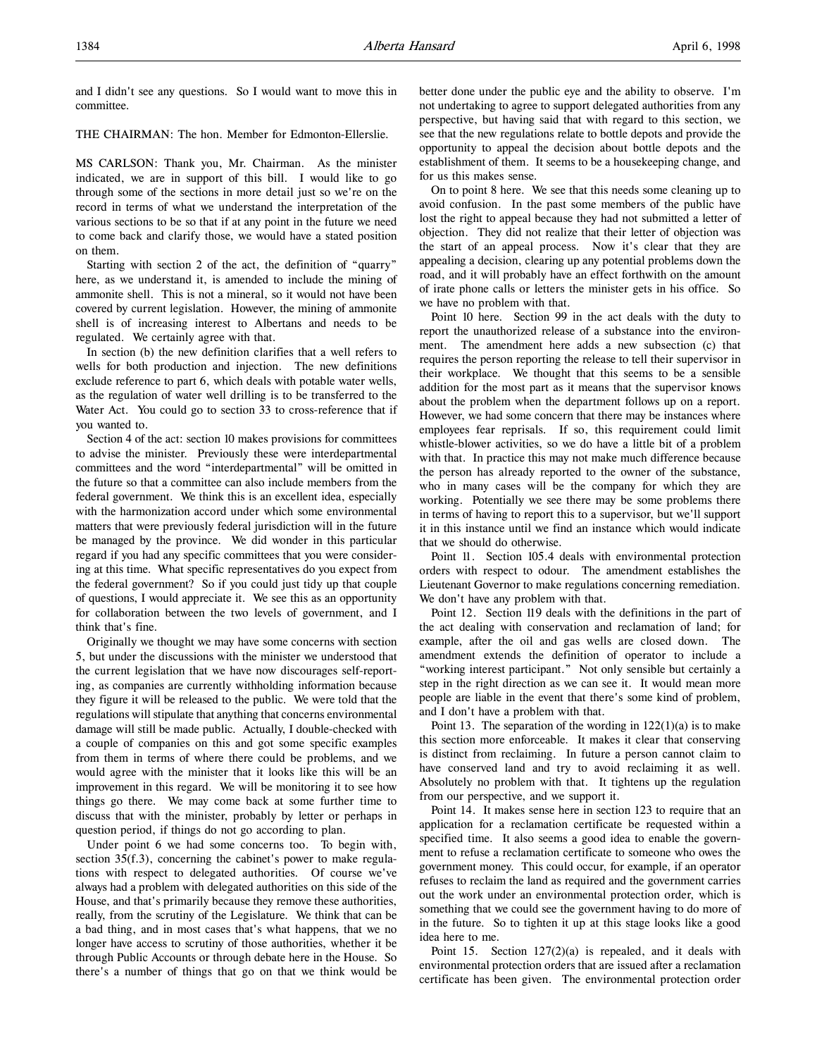and I didn't see any questions. So I would want to move this in committee.

THE CHAIRMAN: The hon. Member for Edmonton-Ellerslie.

MS CARLSON: Thank you, Mr. Chairman. As the minister indicated, we are in support of this bill. I would like to go through some of the sections in more detail just so we're on the record in terms of what we understand the interpretation of the various sections to be so that if at any point in the future we need to come back and clarify those, we would have a stated position on them.

Starting with section 2 of the act, the definition of "quarry" here, as we understand it, is amended to include the mining of ammonite shell. This is not a mineral, so it would not have been covered by current legislation. However, the mining of ammonite shell is of increasing interest to Albertans and needs to be regulated. We certainly agree with that.

In section (b) the new definition clarifies that a well refers to wells for both production and injection. The new definitions exclude reference to part 6, which deals with potable water wells, as the regulation of water well drilling is to be transferred to the Water Act. You could go to section 33 to cross-reference that if you wanted to.

Section 4 of the act: section 10 makes provisions for committees to advise the minister. Previously these were interdepartmental committees and the word "interdepartmental" will be omitted in the future so that a committee can also include members from the federal government. We think this is an excellent idea, especially with the harmonization accord under which some environmental matters that were previously federal jurisdiction will in the future be managed by the province. We did wonder in this particular regard if you had any specific committees that you were considering at this time. What specific representatives do you expect from the federal government? So if you could just tidy up that couple of questions, I would appreciate it. We see this as an opportunity for collaboration between the two levels of government, and I think that's fine.

Originally we thought we may have some concerns with section 5, but under the discussions with the minister we understood that the current legislation that we have now discourages self-reporting, as companies are currently withholding information because they figure it will be released to the public. We were told that the regulations will stipulate that anything that concerns environmental damage will still be made public. Actually, I double-checked with a couple of companies on this and got some specific examples from them in terms of where there could be problems, and we would agree with the minister that it looks like this will be an improvement in this regard. We will be monitoring it to see how things go there. We may come back at some further time to discuss that with the minister, probably by letter or perhaps in question period, if things do not go according to plan.

Under point 6 we had some concerns too. To begin with, section 35(f.3), concerning the cabinet's power to make regulations with respect to delegated authorities. Of course we've always had a problem with delegated authorities on this side of the House, and that's primarily because they remove these authorities, really, from the scrutiny of the Legislature. We think that can be a bad thing, and in most cases that's what happens, that we no longer have access to scrutiny of those authorities, whether it be through Public Accounts or through debate here in the House. So there's a number of things that go on that we think would be

better done under the public eye and the ability to observe. I'm not undertaking to agree to support delegated authorities from any perspective, but having said that with regard to this section, we see that the new regulations relate to bottle depots and provide the opportunity to appeal the decision about bottle depots and the establishment of them. It seems to be a housekeeping change, and for us this makes sense.

On to point 8 here. We see that this needs some cleaning up to avoid confusion. In the past some members of the public have lost the right to appeal because they had not submitted a letter of objection. They did not realize that their letter of objection was the start of an appeal process. Now it's clear that they are appealing a decision, clearing up any potential problems down the road, and it will probably have an effect forthwith on the amount of irate phone calls or letters the minister gets in his office. So we have no problem with that.

Point 10 here. Section 99 in the act deals with the duty to report the unauthorized release of a substance into the environment. The amendment here adds a new subsection (c) that requires the person reporting the release to tell their supervisor in their workplace. We thought that this seems to be a sensible addition for the most part as it means that the supervisor knows about the problem when the department follows up on a report. However, we had some concern that there may be instances where employees fear reprisals. If so, this requirement could limit whistle-blower activities, so we do have a little bit of a problem with that. In practice this may not make much difference because the person has already reported to the owner of the substance, who in many cases will be the company for which they are working. Potentially we see there may be some problems there in terms of having to report this to a supervisor, but we'll support it in this instance until we find an instance which would indicate that we should do otherwise.

Point 11. Section 105.4 deals with environmental protection orders with respect to odour. The amendment establishes the Lieutenant Governor to make regulations concerning remediation. We don't have any problem with that.

Point 12. Section 119 deals with the definitions in the part of the act dealing with conservation and reclamation of land; for example, after the oil and gas wells are closed down. The amendment extends the definition of operator to include a "working interest participant." Not only sensible but certainly a step in the right direction as we can see it. It would mean more people are liable in the event that there's some kind of problem, and I don't have a problem with that.

Point 13. The separation of the wording in  $122(1)(a)$  is to make this section more enforceable. It makes it clear that conserving is distinct from reclaiming. In future a person cannot claim to have conserved land and try to avoid reclaiming it as well. Absolutely no problem with that. It tightens up the regulation from our perspective, and we support it.

Point 14. It makes sense here in section 123 to require that an application for a reclamation certificate be requested within a specified time. It also seems a good idea to enable the government to refuse a reclamation certificate to someone who owes the government money. This could occur, for example, if an operator refuses to reclaim the land as required and the government carries out the work under an environmental protection order, which is something that we could see the government having to do more of in the future. So to tighten it up at this stage looks like a good idea here to me.

Point 15. Section 127(2)(a) is repealed, and it deals with environmental protection orders that are issued after a reclamation certificate has been given. The environmental protection order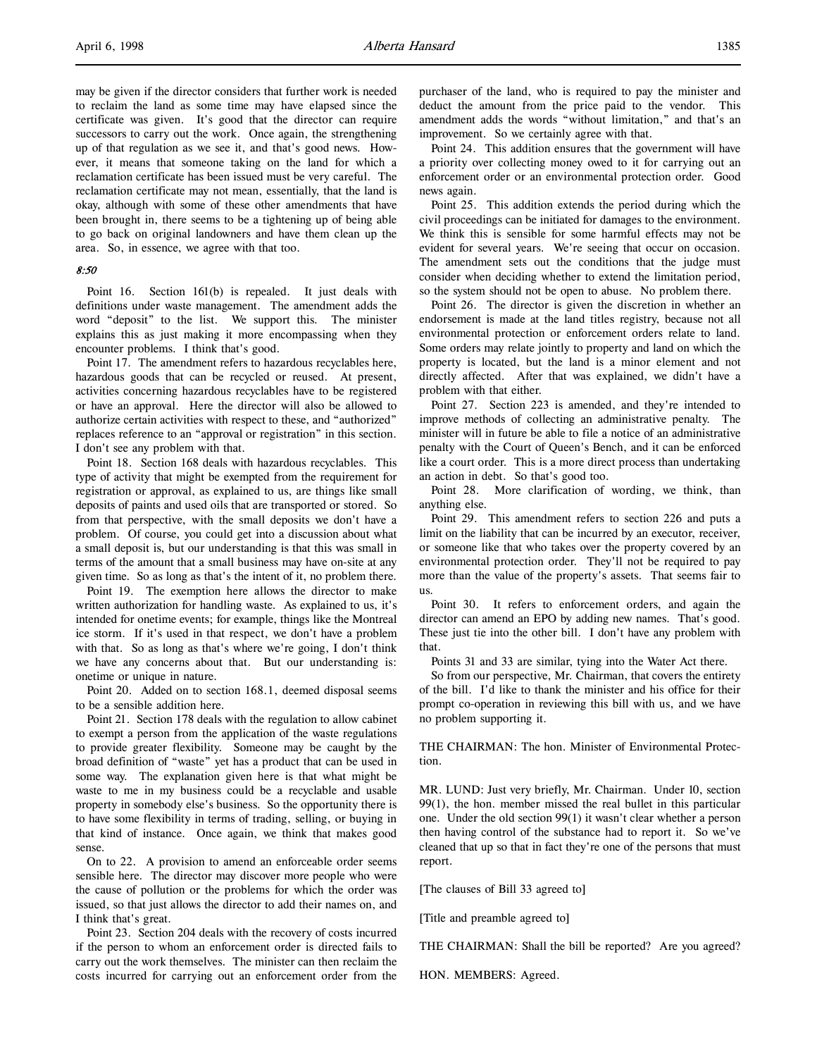may be given if the director considers that further work is needed to reclaim the land as some time may have elapsed since the certificate was given. It's good that the director can require successors to carry out the work. Once again, the strengthening up of that regulation as we see it, and that's good news. However, it means that someone taking on the land for which a reclamation certificate has been issued must be very careful. The reclamation certificate may not mean, essentially, that the land is okay, although with some of these other amendments that have been brought in, there seems to be a tightening up of being able to go back on original landowners and have them clean up the area. So, in essence, we agree with that too.

#### 8:50

Point 16. Section 161(b) is repealed. It just deals with definitions under waste management. The amendment adds the word "deposit" to the list. We support this. The minister explains this as just making it more encompassing when they encounter problems. I think that's good.

Point 17. The amendment refers to hazardous recyclables here, hazardous goods that can be recycled or reused. At present, activities concerning hazardous recyclables have to be registered or have an approval. Here the director will also be allowed to authorize certain activities with respect to these, and "authorized" replaces reference to an "approval or registration" in this section. I don't see any problem with that.

Point 18. Section 168 deals with hazardous recyclables. This type of activity that might be exempted from the requirement for registration or approval, as explained to us, are things like small deposits of paints and used oils that are transported or stored. So from that perspective, with the small deposits we don't have a problem. Of course, you could get into a discussion about what a small deposit is, but our understanding is that this was small in terms of the amount that a small business may have on-site at any given time. So as long as that's the intent of it, no problem there.

Point 19. The exemption here allows the director to make written authorization for handling waste. As explained to us, it's intended for onetime events; for example, things like the Montreal ice storm. If it's used in that respect, we don't have a problem with that. So as long as that's where we're going, I don't think we have any concerns about that. But our understanding is: onetime or unique in nature.

Point 20. Added on to section 168.1, deemed disposal seems to be a sensible addition here.

Point 21. Section 178 deals with the regulation to allow cabinet to exempt a person from the application of the waste regulations to provide greater flexibility. Someone may be caught by the broad definition of "waste" yet has a product that can be used in some way. The explanation given here is that what might be waste to me in my business could be a recyclable and usable property in somebody else's business. So the opportunity there is to have some flexibility in terms of trading, selling, or buying in that kind of instance. Once again, we think that makes good sense.

On to 22. A provision to amend an enforceable order seems sensible here. The director may discover more people who were the cause of pollution or the problems for which the order was issued, so that just allows the director to add their names on, and I think that's great.

Point 23. Section 204 deals with the recovery of costs incurred if the person to whom an enforcement order is directed fails to carry out the work themselves. The minister can then reclaim the costs incurred for carrying out an enforcement order from the

purchaser of the land, who is required to pay the minister and deduct the amount from the price paid to the vendor. This amendment adds the words "without limitation," and that's an improvement. So we certainly agree with that.

Point 24. This addition ensures that the government will have a priority over collecting money owed to it for carrying out an enforcement order or an environmental protection order. Good news again.

Point 25. This addition extends the period during which the civil proceedings can be initiated for damages to the environment. We think this is sensible for some harmful effects may not be evident for several years. We're seeing that occur on occasion. The amendment sets out the conditions that the judge must consider when deciding whether to extend the limitation period, so the system should not be open to abuse. No problem there.

Point 26. The director is given the discretion in whether an endorsement is made at the land titles registry, because not all environmental protection or enforcement orders relate to land. Some orders may relate jointly to property and land on which the property is located, but the land is a minor element and not directly affected. After that was explained, we didn't have a problem with that either.

Point 27. Section 223 is amended, and they're intended to improve methods of collecting an administrative penalty. The minister will in future be able to file a notice of an administrative penalty with the Court of Queen's Bench, and it can be enforced like a court order. This is a more direct process than undertaking an action in debt. So that's good too.

Point 28. More clarification of wording, we think, than anything else.

Point 29. This amendment refers to section 226 and puts a limit on the liability that can be incurred by an executor, receiver, or someone like that who takes over the property covered by an environmental protection order. They'll not be required to pay more than the value of the property's assets. That seems fair to us.

Point 30. It refers to enforcement orders, and again the director can amend an EPO by adding new names. That's good. These just tie into the other bill. I don't have any problem with that.

Points 31 and 33 are similar, tying into the Water Act there.

So from our perspective, Mr. Chairman, that covers the entirety of the bill. I'd like to thank the minister and his office for their prompt co-operation in reviewing this bill with us, and we have no problem supporting it.

THE CHAIRMAN: The hon. Minister of Environmental Protection.

MR. LUND: Just very briefly, Mr. Chairman. Under 10, section 99(1), the hon. member missed the real bullet in this particular one. Under the old section 99(1) it wasn't clear whether a person then having control of the substance had to report it. So we've cleaned that up so that in fact they're one of the persons that must report.

[The clauses of Bill 33 agreed to]

[Title and preamble agreed to]

THE CHAIRMAN: Shall the bill be reported? Are you agreed?

HON. MEMBERS: Agreed.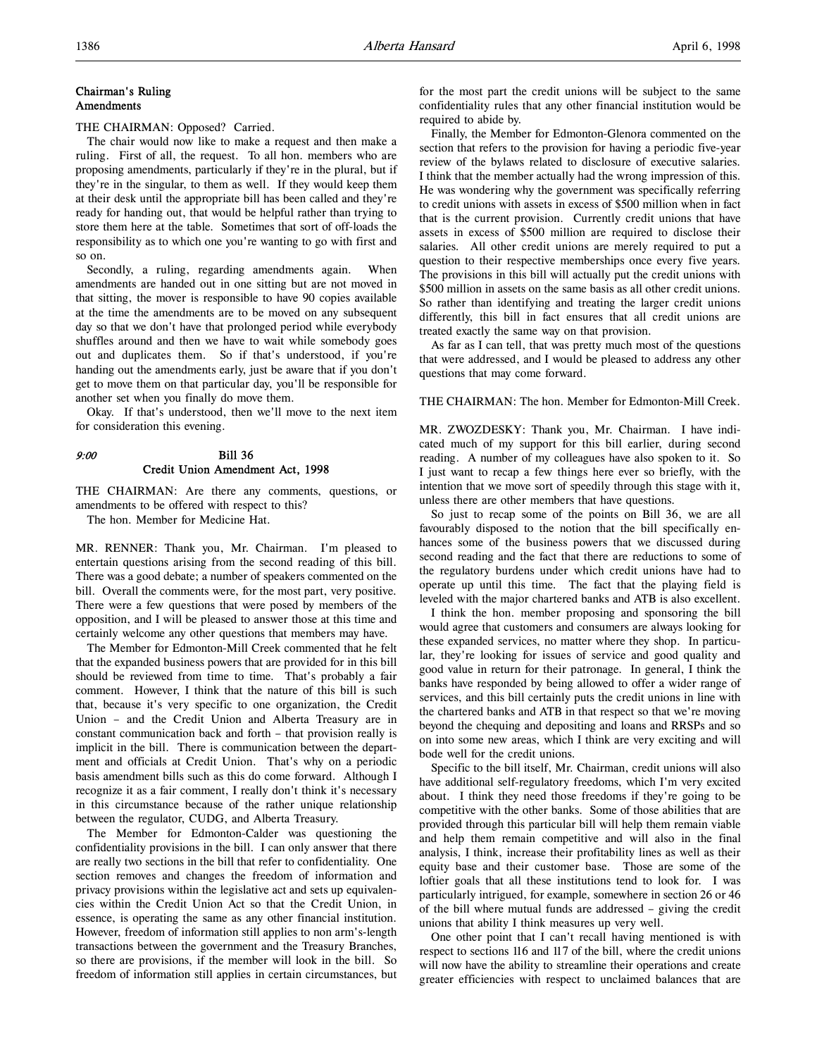## Chairman's Ruling Amendments

THE CHAIRMAN: Opposed? Carried.

The chair would now like to make a request and then make a ruling. First of all, the request. To all hon. members who are proposing amendments, particularly if they're in the plural, but if they're in the singular, to them as well. If they would keep them at their desk until the appropriate bill has been called and they're ready for handing out, that would be helpful rather than trying to store them here at the table. Sometimes that sort of off-loads the responsibility as to which one you're wanting to go with first and so on.

Secondly, a ruling, regarding amendments again. When amendments are handed out in one sitting but are not moved in that sitting, the mover is responsible to have 90 copies available at the time the amendments are to be moved on any subsequent day so that we don't have that prolonged period while everybody shuffles around and then we have to wait while somebody goes out and duplicates them. So if that's understood, if you're handing out the amendments early, just be aware that if you don't get to move them on that particular day, you'll be responsible for another set when you finally do move them.

Okay. If that's understood, then we'll move to the next item for consideration this evening.

## 9:00 Bill 36 Credit Union Amendment Act, 1998

THE CHAIRMAN: Are there any comments, questions, or amendments to be offered with respect to this?

The hon. Member for Medicine Hat.

MR. RENNER: Thank you, Mr. Chairman. I'm pleased to entertain questions arising from the second reading of this bill. There was a good debate; a number of speakers commented on the bill. Overall the comments were, for the most part, very positive. There were a few questions that were posed by members of the opposition, and I will be pleased to answer those at this time and certainly welcome any other questions that members may have.

The Member for Edmonton-Mill Creek commented that he felt that the expanded business powers that are provided for in this bill should be reviewed from time to time. That's probably a fair comment. However, I think that the nature of this bill is such that, because it's very specific to one organization, the Credit Union – and the Credit Union and Alberta Treasury are in constant communication back and forth – that provision really is implicit in the bill. There is communication between the department and officials at Credit Union. That's why on a periodic basis amendment bills such as this do come forward. Although I recognize it as a fair comment, I really don't think it's necessary in this circumstance because of the rather unique relationship between the regulator, CUDG, and Alberta Treasury.

The Member for Edmonton-Calder was questioning the confidentiality provisions in the bill. I can only answer that there are really two sections in the bill that refer to confidentiality. One section removes and changes the freedom of information and privacy provisions within the legislative act and sets up equivalencies within the Credit Union Act so that the Credit Union, in essence, is operating the same as any other financial institution. However, freedom of information still applies to non arm's-length transactions between the government and the Treasury Branches, so there are provisions, if the member will look in the bill. So freedom of information still applies in certain circumstances, but

for the most part the credit unions will be subject to the same confidentiality rules that any other financial institution would be required to abide by.

Finally, the Member for Edmonton-Glenora commented on the section that refers to the provision for having a periodic five-year review of the bylaws related to disclosure of executive salaries. I think that the member actually had the wrong impression of this. He was wondering why the government was specifically referring to credit unions with assets in excess of \$500 million when in fact that is the current provision. Currently credit unions that have assets in excess of \$500 million are required to disclose their salaries. All other credit unions are merely required to put a question to their respective memberships once every five years. The provisions in this bill will actually put the credit unions with \$500 million in assets on the same basis as all other credit unions. So rather than identifying and treating the larger credit unions differently, this bill in fact ensures that all credit unions are treated exactly the same way on that provision.

As far as I can tell, that was pretty much most of the questions that were addressed, and I would be pleased to address any other questions that may come forward.

THE CHAIRMAN: The hon. Member for Edmonton-Mill Creek.

MR. ZWOZDESKY: Thank you, Mr. Chairman. I have indicated much of my support for this bill earlier, during second reading. A number of my colleagues have also spoken to it. So I just want to recap a few things here ever so briefly, with the intention that we move sort of speedily through this stage with it, unless there are other members that have questions.

So just to recap some of the points on Bill 36, we are all favourably disposed to the notion that the bill specifically enhances some of the business powers that we discussed during second reading and the fact that there are reductions to some of the regulatory burdens under which credit unions have had to operate up until this time. The fact that the playing field is leveled with the major chartered banks and ATB is also excellent.

I think the hon. member proposing and sponsoring the bill would agree that customers and consumers are always looking for these expanded services, no matter where they shop. In particular, they're looking for issues of service and good quality and good value in return for their patronage. In general, I think the banks have responded by being allowed to offer a wider range of services, and this bill certainly puts the credit unions in line with the chartered banks and ATB in that respect so that we're moving beyond the chequing and depositing and loans and RRSPs and so on into some new areas, which I think are very exciting and will bode well for the credit unions.

Specific to the bill itself, Mr. Chairman, credit unions will also have additional self-regulatory freedoms, which I'm very excited about. I think they need those freedoms if they're going to be competitive with the other banks. Some of those abilities that are provided through this particular bill will help them remain viable and help them remain competitive and will also in the final analysis, I think, increase their profitability lines as well as their equity base and their customer base. Those are some of the loftier goals that all these institutions tend to look for. I was particularly intrigued, for example, somewhere in section 26 or 46 of the bill where mutual funds are addressed – giving the credit unions that ability I think measures up very well.

One other point that I can't recall having mentioned is with respect to sections 116 and 117 of the bill, where the credit unions will now have the ability to streamline their operations and create greater efficiencies with respect to unclaimed balances that are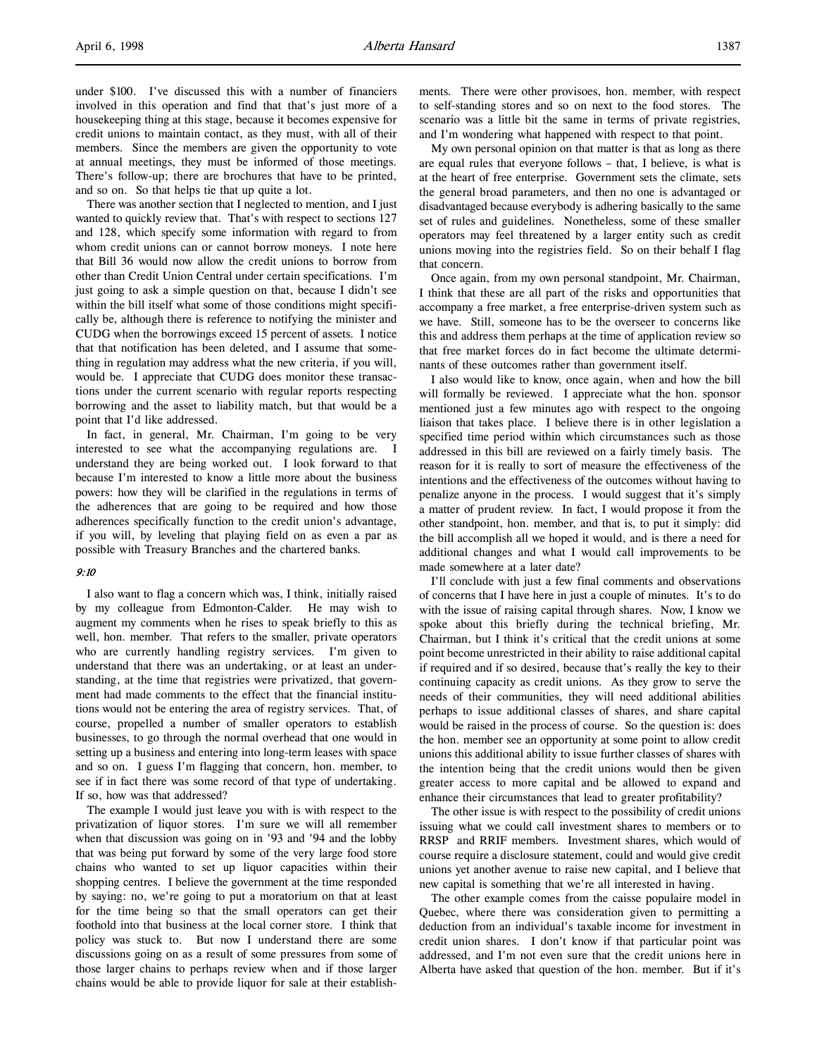under \$100. I've discussed this with a number of financiers involved in this operation and find that that's just more of a housekeeping thing at this stage, because it becomes expensive for credit unions to maintain contact, as they must, with all of their members. Since the members are given the opportunity to vote at annual meetings, they must be informed of those meetings. There's follow-up; there are brochures that have to be printed, and so on. So that helps tie that up quite a lot.

There was another section that I neglected to mention, and I just wanted to quickly review that. That's with respect to sections 127 and 128, which specify some information with regard to from whom credit unions can or cannot borrow moneys. I note here that Bill 36 would now allow the credit unions to borrow from other than Credit Union Central under certain specifications. I'm just going to ask a simple question on that, because I didn't see within the bill itself what some of those conditions might specifically be, although there is reference to notifying the minister and CUDG when the borrowings exceed 15 percent of assets. I notice that that notification has been deleted, and I assume that something in regulation may address what the new criteria, if you will, would be. I appreciate that CUDG does monitor these transactions under the current scenario with regular reports respecting borrowing and the asset to liability match, but that would be a point that I'd like addressed.

In fact, in general, Mr. Chairman, I'm going to be very interested to see what the accompanying regulations are. I understand they are being worked out. I look forward to that because I'm interested to know a little more about the business powers: how they will be clarified in the regulations in terms of the adherences that are going to be required and how those adherences specifically function to the credit union's advantage, if you will, by leveling that playing field on as even a par as possible with Treasury Branches and the chartered banks.

## 9:10

I also want to flag a concern which was, I think, initially raised by my colleague from Edmonton-Calder. He may wish to augment my comments when he rises to speak briefly to this as well, hon. member. That refers to the smaller, private operators who are currently handling registry services. I'm given to understand that there was an undertaking, or at least an understanding, at the time that registries were privatized, that government had made comments to the effect that the financial institutions would not be entering the area of registry services. That, of course, propelled a number of smaller operators to establish businesses, to go through the normal overhead that one would in setting up a business and entering into long-term leases with space and so on. I guess I'm flagging that concern, hon. member, to see if in fact there was some record of that type of undertaking. If so, how was that addressed?

The example I would just leave you with is with respect to the privatization of liquor stores. I'm sure we will all remember when that discussion was going on in '93 and '94 and the lobby that was being put forward by some of the very large food store chains who wanted to set up liquor capacities within their shopping centres. I believe the government at the time responded by saying: no, we're going to put a moratorium on that at least for the time being so that the small operators can get their foothold into that business at the local corner store. I think that policy was stuck to. But now I understand there are some discussions going on as a result of some pressures from some of those larger chains to perhaps review when and if those larger chains would be able to provide liquor for sale at their establishments. There were other provisoes, hon. member, with respect to self-standing stores and so on next to the food stores. The scenario was a little bit the same in terms of private registries, and I'm wondering what happened with respect to that point.

My own personal opinion on that matter is that as long as there are equal rules that everyone follows – that, I believe, is what is at the heart of free enterprise. Government sets the climate, sets the general broad parameters, and then no one is advantaged or disadvantaged because everybody is adhering basically to the same set of rules and guidelines. Nonetheless, some of these smaller operators may feel threatened by a larger entity such as credit unions moving into the registries field. So on their behalf I flag that concern.

Once again, from my own personal standpoint, Mr. Chairman, I think that these are all part of the risks and opportunities that accompany a free market, a free enterprise-driven system such as we have. Still, someone has to be the overseer to concerns like this and address them perhaps at the time of application review so that free market forces do in fact become the ultimate determinants of these outcomes rather than government itself.

I also would like to know, once again, when and how the bill will formally be reviewed. I appreciate what the hon. sponsor mentioned just a few minutes ago with respect to the ongoing liaison that takes place. I believe there is in other legislation a specified time period within which circumstances such as those addressed in this bill are reviewed on a fairly timely basis. The reason for it is really to sort of measure the effectiveness of the intentions and the effectiveness of the outcomes without having to penalize anyone in the process. I would suggest that it's simply a matter of prudent review. In fact, I would propose it from the other standpoint, hon. member, and that is, to put it simply: did the bill accomplish all we hoped it would, and is there a need for additional changes and what I would call improvements to be made somewhere at a later date?

I'll conclude with just a few final comments and observations of concerns that I have here in just a couple of minutes. It's to do with the issue of raising capital through shares. Now, I know we spoke about this briefly during the technical briefing, Mr. Chairman, but I think it's critical that the credit unions at some point become unrestricted in their ability to raise additional capital if required and if so desired, because that's really the key to their continuing capacity as credit unions. As they grow to serve the needs of their communities, they will need additional abilities perhaps to issue additional classes of shares, and share capital would be raised in the process of course. So the question is: does the hon. member see an opportunity at some point to allow credit unions this additional ability to issue further classes of shares with the intention being that the credit unions would then be given greater access to more capital and be allowed to expand and enhance their circumstances that lead to greater profitability?

The other issue is with respect to the possibility of credit unions issuing what we could call investment shares to members or to RRSP and RRIF members. Investment shares, which would of course require a disclosure statement, could and would give credit unions yet another avenue to raise new capital, and I believe that new capital is something that we're all interested in having.

The other example comes from the caisse populaire model in Quebec, where there was consideration given to permitting a deduction from an individual's taxable income for investment in credit union shares. I don't know if that particular point was addressed, and I'm not even sure that the credit unions here in Alberta have asked that question of the hon. member. But if it's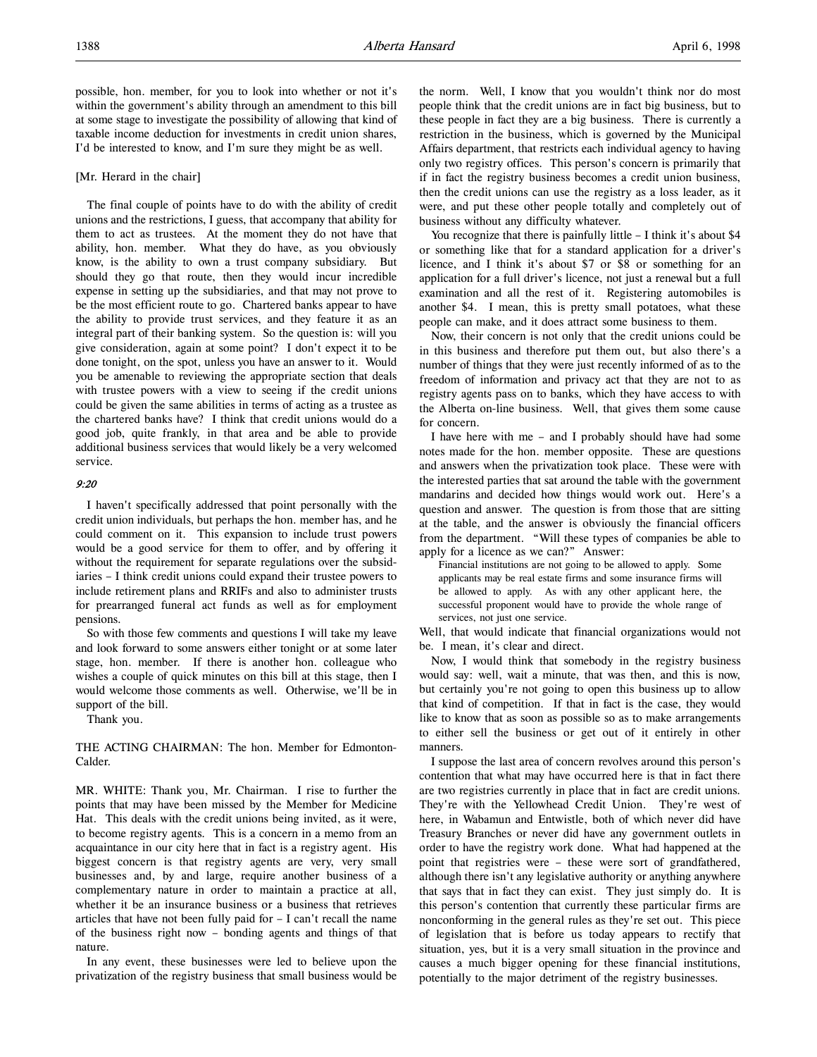possible, hon. member, for you to look into whether or not it's within the government's ability through an amendment to this bill at some stage to investigate the possibility of allowing that kind of taxable income deduction for investments in credit union shares, I'd be interested to know, and I'm sure they might be as well.

## [Mr. Herard in the chair]

The final couple of points have to do with the ability of credit unions and the restrictions, I guess, that accompany that ability for them to act as trustees. At the moment they do not have that ability, hon. member. What they do have, as you obviously know, is the ability to own a trust company subsidiary. But should they go that route, then they would incur incredible expense in setting up the subsidiaries, and that may not prove to be the most efficient route to go. Chartered banks appear to have the ability to provide trust services, and they feature it as an integral part of their banking system. So the question is: will you give consideration, again at some point? I don't expect it to be done tonight, on the spot, unless you have an answer to it. Would you be amenable to reviewing the appropriate section that deals with trustee powers with a view to seeing if the credit unions could be given the same abilities in terms of acting as a trustee as the chartered banks have? I think that credit unions would do a good job, quite frankly, in that area and be able to provide additional business services that would likely be a very welcomed service.

## 9:20

I haven't specifically addressed that point personally with the credit union individuals, but perhaps the hon. member has, and he could comment on it. This expansion to include trust powers would be a good service for them to offer, and by offering it without the requirement for separate regulations over the subsidiaries – I think credit unions could expand their trustee powers to include retirement plans and RRIFs and also to administer trusts for prearranged funeral act funds as well as for employment pensions.

So with those few comments and questions I will take my leave and look forward to some answers either tonight or at some later stage, hon. member. If there is another hon. colleague who wishes a couple of quick minutes on this bill at this stage, then I would welcome those comments as well. Otherwise, we'll be in support of the bill.

Thank you.

THE ACTING CHAIRMAN: The hon. Member for Edmonton-Calder.

MR. WHITE: Thank you, Mr. Chairman. I rise to further the points that may have been missed by the Member for Medicine Hat. This deals with the credit unions being invited, as it were, to become registry agents. This is a concern in a memo from an acquaintance in our city here that in fact is a registry agent. His biggest concern is that registry agents are very, very small businesses and, by and large, require another business of a complementary nature in order to maintain a practice at all, whether it be an insurance business or a business that retrieves articles that have not been fully paid for – I can't recall the name of the business right now – bonding agents and things of that nature.

In any event, these businesses were led to believe upon the privatization of the registry business that small business would be the norm. Well, I know that you wouldn't think nor do most people think that the credit unions are in fact big business, but to these people in fact they are a big business. There is currently a restriction in the business, which is governed by the Municipal Affairs department, that restricts each individual agency to having only two registry offices. This person's concern is primarily that if in fact the registry business becomes a credit union business, then the credit unions can use the registry as a loss leader, as it were, and put these other people totally and completely out of business without any difficulty whatever.

You recognize that there is painfully little - I think it's about \$4 or something like that for a standard application for a driver's licence, and I think it's about \$7 or \$8 or something for an application for a full driver's licence, not just a renewal but a full examination and all the rest of it. Registering automobiles is another \$4. I mean, this is pretty small potatoes, what these people can make, and it does attract some business to them.

Now, their concern is not only that the credit unions could be in this business and therefore put them out, but also there's a number of things that they were just recently informed of as to the freedom of information and privacy act that they are not to as registry agents pass on to banks, which they have access to with the Alberta on-line business. Well, that gives them some cause for concern.

I have here with me – and I probably should have had some notes made for the hon. member opposite. These are questions and answers when the privatization took place. These were with the interested parties that sat around the table with the government mandarins and decided how things would work out. Here's a question and answer. The question is from those that are sitting at the table, and the answer is obviously the financial officers from the department. "Will these types of companies be able to apply for a licence as we can?" Answer:

Financial institutions are not going to be allowed to apply. Some applicants may be real estate firms and some insurance firms will be allowed to apply. As with any other applicant here, the successful proponent would have to provide the whole range of services, not just one service.

Well, that would indicate that financial organizations would not be. I mean, it's clear and direct.

Now, I would think that somebody in the registry business would say: well, wait a minute, that was then, and this is now, but certainly you're not going to open this business up to allow that kind of competition. If that in fact is the case, they would like to know that as soon as possible so as to make arrangements to either sell the business or get out of it entirely in other manners.

I suppose the last area of concern revolves around this person's contention that what may have occurred here is that in fact there are two registries currently in place that in fact are credit unions. They're with the Yellowhead Credit Union. They're west of here, in Wabamun and Entwistle, both of which never did have Treasury Branches or never did have any government outlets in order to have the registry work done. What had happened at the point that registries were – these were sort of grandfathered, although there isn't any legislative authority or anything anywhere that says that in fact they can exist. They just simply do. It is this person's contention that currently these particular firms are nonconforming in the general rules as they're set out. This piece of legislation that is before us today appears to rectify that situation, yes, but it is a very small situation in the province and causes a much bigger opening for these financial institutions, potentially to the major detriment of the registry businesses.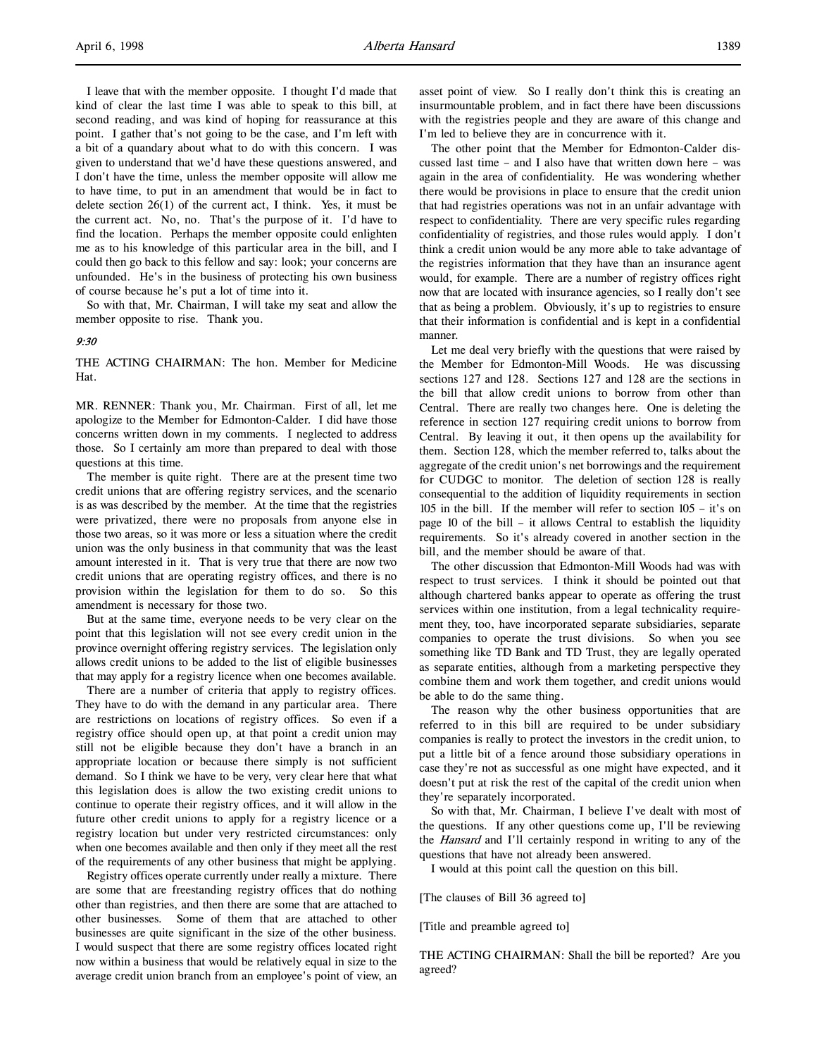I leave that with the member opposite. I thought I'd made that kind of clear the last time I was able to speak to this bill, at second reading, and was kind of hoping for reassurance at this point. I gather that's not going to be the case, and I'm left with a bit of a quandary about what to do with this concern. I was given to understand that we'd have these questions answered, and I don't have the time, unless the member opposite will allow me to have time, to put in an amendment that would be in fact to delete section  $26(1)$  of the current act, I think. Yes, it must be the current act. No, no. That's the purpose of it. I'd have to find the location. Perhaps the member opposite could enlighten me as to his knowledge of this particular area in the bill, and I could then go back to this fellow and say: look; your concerns are unfounded. He's in the business of protecting his own business of course because he's put a lot of time into it.

So with that, Mr. Chairman, I will take my seat and allow the member opposite to rise. Thank you.

#### 9:30

THE ACTING CHAIRMAN: The hon. Member for Medicine Hat.

MR. RENNER: Thank you, Mr. Chairman. First of all, let me apologize to the Member for Edmonton-Calder. I did have those concerns written down in my comments. I neglected to address those. So I certainly am more than prepared to deal with those questions at this time.

The member is quite right. There are at the present time two credit unions that are offering registry services, and the scenario is as was described by the member. At the time that the registries were privatized, there were no proposals from anyone else in those two areas, so it was more or less a situation where the credit union was the only business in that community that was the least amount interested in it. That is very true that there are now two credit unions that are operating registry offices, and there is no provision within the legislation for them to do so. So this amendment is necessary for those two.

But at the same time, everyone needs to be very clear on the point that this legislation will not see every credit union in the province overnight offering registry services. The legislation only allows credit unions to be added to the list of eligible businesses that may apply for a registry licence when one becomes available.

There are a number of criteria that apply to registry offices. They have to do with the demand in any particular area. There are restrictions on locations of registry offices. So even if a registry office should open up, at that point a credit union may still not be eligible because they don't have a branch in an appropriate location or because there simply is not sufficient demand. So I think we have to be very, very clear here that what this legislation does is allow the two existing credit unions to continue to operate their registry offices, and it will allow in the future other credit unions to apply for a registry licence or a registry location but under very restricted circumstances: only when one becomes available and then only if they meet all the rest of the requirements of any other business that might be applying.

Registry offices operate currently under really a mixture. There are some that are freestanding registry offices that do nothing other than registries, and then there are some that are attached to other businesses. Some of them that are attached to other businesses are quite significant in the size of the other business. I would suspect that there are some registry offices located right now within a business that would be relatively equal in size to the average credit union branch from an employee's point of view, an

asset point of view. So I really don't think this is creating an insurmountable problem, and in fact there have been discussions with the registries people and they are aware of this change and I'm led to believe they are in concurrence with it.

The other point that the Member for Edmonton-Calder discussed last time – and I also have that written down here – was again in the area of confidentiality. He was wondering whether there would be provisions in place to ensure that the credit union that had registries operations was not in an unfair advantage with respect to confidentiality. There are very specific rules regarding confidentiality of registries, and those rules would apply. I don't think a credit union would be any more able to take advantage of the registries information that they have than an insurance agent would, for example. There are a number of registry offices right now that are located with insurance agencies, so I really don't see that as being a problem. Obviously, it's up to registries to ensure that their information is confidential and is kept in a confidential manner.

Let me deal very briefly with the questions that were raised by the Member for Edmonton-Mill Woods. He was discussing sections 127 and 128. Sections 127 and 128 are the sections in the bill that allow credit unions to borrow from other than Central. There are really two changes here. One is deleting the reference in section 127 requiring credit unions to borrow from Central. By leaving it out, it then opens up the availability for them. Section 128, which the member referred to, talks about the aggregate of the credit union's net borrowings and the requirement for CUDGC to monitor. The deletion of section 128 is really consequential to the addition of liquidity requirements in section 105 in the bill. If the member will refer to section 105 – it's on page 10 of the bill – it allows Central to establish the liquidity requirements. So it's already covered in another section in the bill, and the member should be aware of that.

The other discussion that Edmonton-Mill Woods had was with respect to trust services. I think it should be pointed out that although chartered banks appear to operate as offering the trust services within one institution, from a legal technicality requirement they, too, have incorporated separate subsidiaries, separate companies to operate the trust divisions. So when you see something like TD Bank and TD Trust, they are legally operated as separate entities, although from a marketing perspective they combine them and work them together, and credit unions would be able to do the same thing.

The reason why the other business opportunities that are referred to in this bill are required to be under subsidiary companies is really to protect the investors in the credit union, to put a little bit of a fence around those subsidiary operations in case they're not as successful as one might have expected, and it doesn't put at risk the rest of the capital of the credit union when they're separately incorporated.

So with that, Mr. Chairman, I believe I've dealt with most of the questions. If any other questions come up, I'll be reviewing the Hansard and I'll certainly respond in writing to any of the questions that have not already been answered.

I would at this point call the question on this bill.

[The clauses of Bill 36 agreed to]

[Title and preamble agreed to]

THE ACTING CHAIRMAN: Shall the bill be reported? Are you agreed?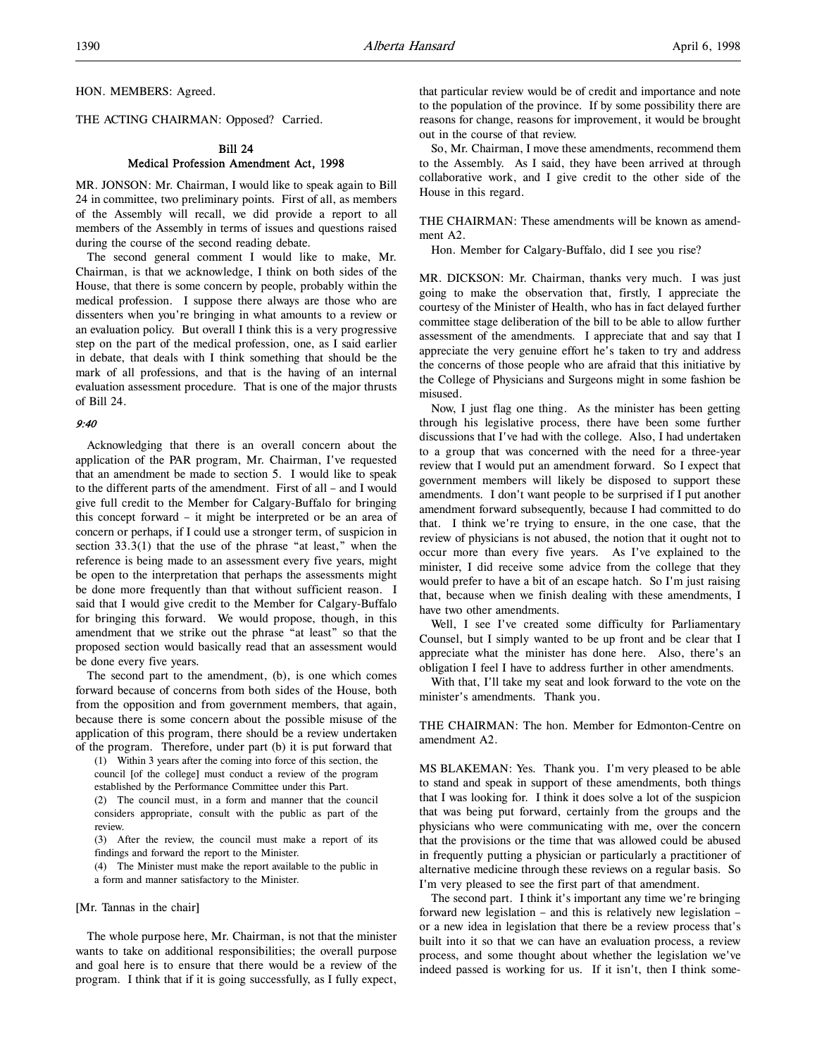HON. MEMBERS: Agreed.

THE ACTING CHAIRMAN: Opposed? Carried.

# Bill 24 Medical Profession Amendment Act, 1998

MR. JONSON: Mr. Chairman, I would like to speak again to Bill 24 in committee, two preliminary points. First of all, as members of the Assembly will recall, we did provide a report to all members of the Assembly in terms of issues and questions raised during the course of the second reading debate.

The second general comment I would like to make, Mr. Chairman, is that we acknowledge, I think on both sides of the House, that there is some concern by people, probably within the medical profession. I suppose there always are those who are dissenters when you're bringing in what amounts to a review or an evaluation policy. But overall I think this is a very progressive step on the part of the medical profession, one, as I said earlier in debate, that deals with I think something that should be the mark of all professions, and that is the having of an internal evaluation assessment procedure. That is one of the major thrusts of Bill 24.

#### 9:40

Acknowledging that there is an overall concern about the application of the PAR program, Mr. Chairman, I've requested that an amendment be made to section 5. I would like to speak to the different parts of the amendment. First of all – and I would give full credit to the Member for Calgary-Buffalo for bringing this concept forward – it might be interpreted or be an area of concern or perhaps, if I could use a stronger term, of suspicion in section 33.3(1) that the use of the phrase "at least," when the reference is being made to an assessment every five years, might be open to the interpretation that perhaps the assessments might be done more frequently than that without sufficient reason. I said that I would give credit to the Member for Calgary-Buffalo for bringing this forward. We would propose, though, in this amendment that we strike out the phrase "at least" so that the proposed section would basically read that an assessment would be done every five years.

The second part to the amendment, (b), is one which comes forward because of concerns from both sides of the House, both from the opposition and from government members, that again, because there is some concern about the possible misuse of the application of this program, there should be a review undertaken of the program. Therefore, under part (b) it is put forward that

(1) Within 3 years after the coming into force of this section, the council [of the college] must conduct a review of the program established by the Performance Committee under this Part. (2) The council must, in a form and manner that the council

considers appropriate, consult with the public as part of the review.

(3) After the review, the council must make a report of its findings and forward the report to the Minister.

(4) The Minister must make the report available to the public in a form and manner satisfactory to the Minister.

## [Mr. Tannas in the chair]

The whole purpose here, Mr. Chairman, is not that the minister wants to take on additional responsibilities; the overall purpose and goal here is to ensure that there would be a review of the program. I think that if it is going successfully, as I fully expect,

that particular review would be of credit and importance and note to the population of the province. If by some possibility there are reasons for change, reasons for improvement, it would be brought out in the course of that review.

So, Mr. Chairman, I move these amendments, recommend them to the Assembly. As I said, they have been arrived at through collaborative work, and I give credit to the other side of the House in this regard.

THE CHAIRMAN: These amendments will be known as amendment A2.

Hon. Member for Calgary-Buffalo, did I see you rise?

MR. DICKSON: Mr. Chairman, thanks very much. I was just going to make the observation that, firstly, I appreciate the courtesy of the Minister of Health, who has in fact delayed further committee stage deliberation of the bill to be able to allow further assessment of the amendments. I appreciate that and say that I appreciate the very genuine effort he's taken to try and address the concerns of those people who are afraid that this initiative by the College of Physicians and Surgeons might in some fashion be misused.

Now, I just flag one thing. As the minister has been getting through his legislative process, there have been some further discussions that I've had with the college. Also, I had undertaken to a group that was concerned with the need for a three-year review that I would put an amendment forward. So I expect that government members will likely be disposed to support these amendments. I don't want people to be surprised if I put another amendment forward subsequently, because I had committed to do that. I think we're trying to ensure, in the one case, that the review of physicians is not abused, the notion that it ought not to occur more than every five years. As I've explained to the minister, I did receive some advice from the college that they would prefer to have a bit of an escape hatch. So I'm just raising that, because when we finish dealing with these amendments, I have two other amendments.

Well, I see I've created some difficulty for Parliamentary Counsel, but I simply wanted to be up front and be clear that I appreciate what the minister has done here. Also, there's an obligation I feel I have to address further in other amendments.

With that, I'll take my seat and look forward to the vote on the minister's amendments. Thank you.

THE CHAIRMAN: The hon. Member for Edmonton-Centre on amendment A2.

MS BLAKEMAN: Yes. Thank you. I'm very pleased to be able to stand and speak in support of these amendments, both things that I was looking for. I think it does solve a lot of the suspicion that was being put forward, certainly from the groups and the physicians who were communicating with me, over the concern that the provisions or the time that was allowed could be abused in frequently putting a physician or particularly a practitioner of alternative medicine through these reviews on a regular basis. So I'm very pleased to see the first part of that amendment.

The second part. I think it's important any time we're bringing forward new legislation – and this is relatively new legislation – or a new idea in legislation that there be a review process that's built into it so that we can have an evaluation process, a review process, and some thought about whether the legislation we've indeed passed is working for us. If it isn't, then I think some-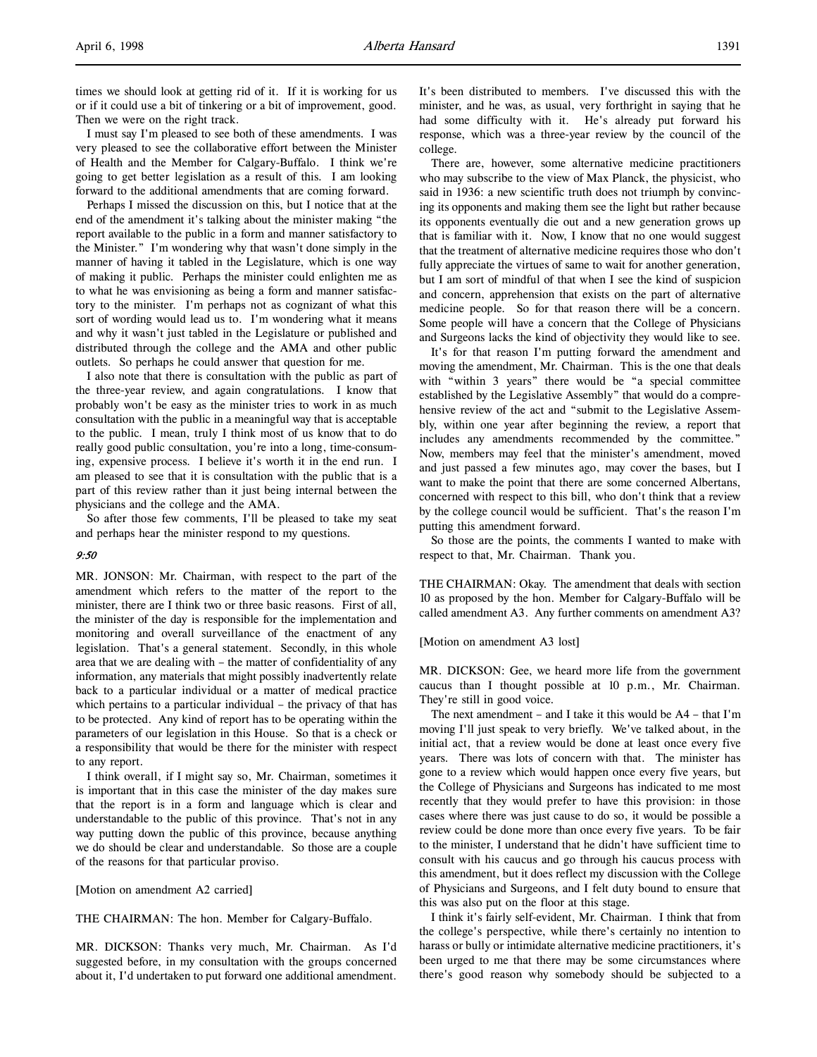I must say I'm pleased to see both of these amendments. I was very pleased to see the collaborative effort between the Minister of Health and the Member for Calgary-Buffalo. I think we're going to get better legislation as a result of this. I am looking forward to the additional amendments that are coming forward.

Perhaps I missed the discussion on this, but I notice that at the end of the amendment it's talking about the minister making "the report available to the public in a form and manner satisfactory to the Minister." I'm wondering why that wasn't done simply in the manner of having it tabled in the Legislature, which is one way of making it public. Perhaps the minister could enlighten me as to what he was envisioning as being a form and manner satisfactory to the minister. I'm perhaps not as cognizant of what this sort of wording would lead us to. I'm wondering what it means and why it wasn't just tabled in the Legislature or published and distributed through the college and the AMA and other public outlets. So perhaps he could answer that question for me.

I also note that there is consultation with the public as part of the three-year review, and again congratulations. I know that probably won't be easy as the minister tries to work in as much consultation with the public in a meaningful way that is acceptable to the public. I mean, truly I think most of us know that to do really good public consultation, you're into a long, time-consuming, expensive process. I believe it's worth it in the end run. I am pleased to see that it is consultation with the public that is a part of this review rather than it just being internal between the physicians and the college and the AMA.

So after those few comments, I'll be pleased to take my seat and perhaps hear the minister respond to my questions.

## 9:50

MR. JONSON: Mr. Chairman, with respect to the part of the amendment which refers to the matter of the report to the minister, there are I think two or three basic reasons. First of all, the minister of the day is responsible for the implementation and monitoring and overall surveillance of the enactment of any legislation. That's a general statement. Secondly, in this whole area that we are dealing with – the matter of confidentiality of any information, any materials that might possibly inadvertently relate back to a particular individual or a matter of medical practice which pertains to a particular individual – the privacy of that has to be protected. Any kind of report has to be operating within the parameters of our legislation in this House. So that is a check or a responsibility that would be there for the minister with respect to any report.

I think overall, if I might say so, Mr. Chairman, sometimes it is important that in this case the minister of the day makes sure that the report is in a form and language which is clear and understandable to the public of this province. That's not in any way putting down the public of this province, because anything we do should be clear and understandable. So those are a couple of the reasons for that particular proviso.

#### [Motion on amendment A2 carried]

THE CHAIRMAN: The hon. Member for Calgary-Buffalo.

MR. DICKSON: Thanks very much, Mr. Chairman. As I'd suggested before, in my consultation with the groups concerned about it, I'd undertaken to put forward one additional amendment. It's been distributed to members. I've discussed this with the minister, and he was, as usual, very forthright in saying that he had some difficulty with it. He's already put forward his response, which was a three-year review by the council of the college.

There are, however, some alternative medicine practitioners who may subscribe to the view of Max Planck, the physicist, who said in 1936: a new scientific truth does not triumph by convincing its opponents and making them see the light but rather because its opponents eventually die out and a new generation grows up that is familiar with it. Now, I know that no one would suggest that the treatment of alternative medicine requires those who don't fully appreciate the virtues of same to wait for another generation, but I am sort of mindful of that when I see the kind of suspicion and concern, apprehension that exists on the part of alternative medicine people. So for that reason there will be a concern. Some people will have a concern that the College of Physicians and Surgeons lacks the kind of objectivity they would like to see.

It's for that reason I'm putting forward the amendment and moving the amendment, Mr. Chairman. This is the one that deals with "within 3 years" there would be "a special committee established by the Legislative Assembly" that would do a comprehensive review of the act and "submit to the Legislative Assembly, within one year after beginning the review, a report that includes any amendments recommended by the committee." Now, members may feel that the minister's amendment, moved and just passed a few minutes ago, may cover the bases, but I want to make the point that there are some concerned Albertans, concerned with respect to this bill, who don't think that a review by the college council would be sufficient. That's the reason I'm putting this amendment forward.

So those are the points, the comments I wanted to make with respect to that, Mr. Chairman. Thank you.

THE CHAIRMAN: Okay. The amendment that deals with section 10 as proposed by the hon. Member for Calgary-Buffalo will be called amendment A3. Any further comments on amendment A3?

## [Motion on amendment A3 lost]

MR. DICKSON: Gee, we heard more life from the government caucus than I thought possible at 10 p.m., Mr. Chairman. They're still in good voice.

The next amendment – and I take it this would be  $A4 - that I'm$ moving I'll just speak to very briefly. We've talked about, in the initial act, that a review would be done at least once every five years. There was lots of concern with that. The minister has gone to a review which would happen once every five years, but the College of Physicians and Surgeons has indicated to me most recently that they would prefer to have this provision: in those cases where there was just cause to do so, it would be possible a review could be done more than once every five years. To be fair to the minister, I understand that he didn't have sufficient time to consult with his caucus and go through his caucus process with this amendment, but it does reflect my discussion with the College of Physicians and Surgeons, and I felt duty bound to ensure that this was also put on the floor at this stage.

I think it's fairly self-evident, Mr. Chairman. I think that from the college's perspective, while there's certainly no intention to harass or bully or intimidate alternative medicine practitioners, it's been urged to me that there may be some circumstances where there's good reason why somebody should be subjected to a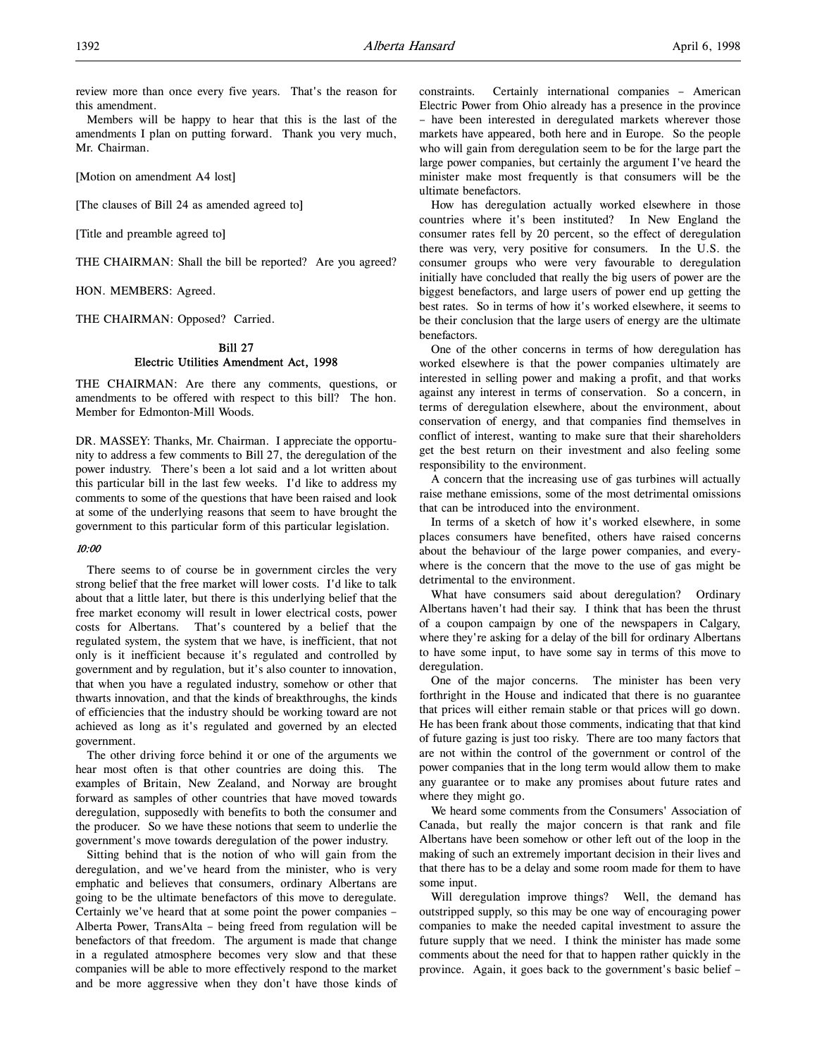review more than once every five years. That's the reason for this amendment.

Members will be happy to hear that this is the last of the amendments I plan on putting forward. Thank you very much, Mr. Chairman.

[Motion on amendment A4 lost]

[The clauses of Bill 24 as amended agreed to]

[Title and preamble agreed to]

THE CHAIRMAN: Shall the bill be reported? Are you agreed?

HON. MEMBERS: Agreed.

THE CHAIRMAN: Opposed? Carried.

# Bill 27

# Electric Utilities Amendment Act, 1998

THE CHAIRMAN: Are there any comments, questions, or amendments to be offered with respect to this bill? The hon. Member for Edmonton-Mill Woods.

DR. MASSEY: Thanks, Mr. Chairman. I appreciate the opportunity to address a few comments to Bill 27, the deregulation of the power industry. There's been a lot said and a lot written about this particular bill in the last few weeks. I'd like to address my comments to some of the questions that have been raised and look at some of the underlying reasons that seem to have brought the government to this particular form of this particular legislation.

# 10:00

There seems to of course be in government circles the very strong belief that the free market will lower costs. I'd like to talk about that a little later, but there is this underlying belief that the free market economy will result in lower electrical costs, power costs for Albertans. That's countered by a belief that the regulated system, the system that we have, is inefficient, that not only is it inefficient because it's regulated and controlled by government and by regulation, but it's also counter to innovation, that when you have a regulated industry, somehow or other that thwarts innovation, and that the kinds of breakthroughs, the kinds of efficiencies that the industry should be working toward are not achieved as long as it's regulated and governed by an elected government.

The other driving force behind it or one of the arguments we hear most often is that other countries are doing this. The examples of Britain, New Zealand, and Norway are brought forward as samples of other countries that have moved towards deregulation, supposedly with benefits to both the consumer and the producer. So we have these notions that seem to underlie the government's move towards deregulation of the power industry.

Sitting behind that is the notion of who will gain from the deregulation, and we've heard from the minister, who is very emphatic and believes that consumers, ordinary Albertans are going to be the ultimate benefactors of this move to deregulate. Certainly we've heard that at some point the power companies – Alberta Power, TransAlta – being freed from regulation will be benefactors of that freedom. The argument is made that change in a regulated atmosphere becomes very slow and that these companies will be able to more effectively respond to the market and be more aggressive when they don't have those kinds of constraints. Certainly international companies – American Electric Power from Ohio already has a presence in the province – have been interested in deregulated markets wherever those markets have appeared, both here and in Europe. So the people who will gain from deregulation seem to be for the large part the large power companies, but certainly the argument I've heard the minister make most frequently is that consumers will be the ultimate benefactors.

How has deregulation actually worked elsewhere in those countries where it's been instituted? In New England the consumer rates fell by 20 percent, so the effect of deregulation there was very, very positive for consumers. In the U.S. the consumer groups who were very favourable to deregulation initially have concluded that really the big users of power are the biggest benefactors, and large users of power end up getting the best rates. So in terms of how it's worked elsewhere, it seems to be their conclusion that the large users of energy are the ultimate **benefactors** 

One of the other concerns in terms of how deregulation has worked elsewhere is that the power companies ultimately are interested in selling power and making a profit, and that works against any interest in terms of conservation. So a concern, in terms of deregulation elsewhere, about the environment, about conservation of energy, and that companies find themselves in conflict of interest, wanting to make sure that their shareholders get the best return on their investment and also feeling some responsibility to the environment.

A concern that the increasing use of gas turbines will actually raise methane emissions, some of the most detrimental omissions that can be introduced into the environment.

In terms of a sketch of how it's worked elsewhere, in some places consumers have benefited, others have raised concerns about the behaviour of the large power companies, and everywhere is the concern that the move to the use of gas might be detrimental to the environment.

What have consumers said about deregulation? Ordinary Albertans haven't had their say. I think that has been the thrust of a coupon campaign by one of the newspapers in Calgary, where they're asking for a delay of the bill for ordinary Albertans to have some input, to have some say in terms of this move to deregulation.

One of the major concerns. The minister has been very forthright in the House and indicated that there is no guarantee that prices will either remain stable or that prices will go down. He has been frank about those comments, indicating that that kind of future gazing is just too risky. There are too many factors that are not within the control of the government or control of the power companies that in the long term would allow them to make any guarantee or to make any promises about future rates and where they might go.

We heard some comments from the Consumers' Association of Canada, but really the major concern is that rank and file Albertans have been somehow or other left out of the loop in the making of such an extremely important decision in their lives and that there has to be a delay and some room made for them to have some input.

Will deregulation improve things? Well, the demand has outstripped supply, so this may be one way of encouraging power companies to make the needed capital investment to assure the future supply that we need. I think the minister has made some comments about the need for that to happen rather quickly in the province. Again, it goes back to the government's basic belief –